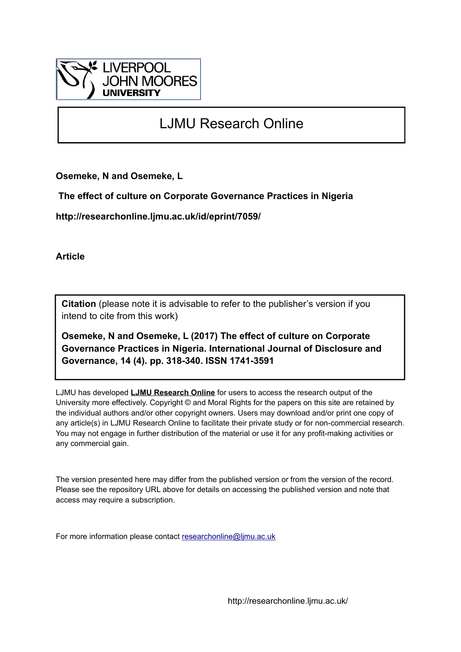

# LJMU Research Online

**Osemeke, N and Osemeke, L**

 **The effect of culture on Corporate Governance Practices in Nigeria**

**http://researchonline.ljmu.ac.uk/id/eprint/7059/**

**Article**

**Citation** (please note it is advisable to refer to the publisher's version if you intend to cite from this work)

**Osemeke, N and Osemeke, L (2017) The effect of culture on Corporate Governance Practices in Nigeria. International Journal of Disclosure and Governance, 14 (4). pp. 318-340. ISSN 1741-3591** 

LJMU has developed **[LJMU Research Online](http://researchonline.ljmu.ac.uk/)** for users to access the research output of the University more effectively. Copyright © and Moral Rights for the papers on this site are retained by the individual authors and/or other copyright owners. Users may download and/or print one copy of any article(s) in LJMU Research Online to facilitate their private study or for non-commercial research. You may not engage in further distribution of the material or use it for any profit-making activities or any commercial gain.

The version presented here may differ from the published version or from the version of the record. Please see the repository URL above for details on accessing the published version and note that access may require a subscription.

For more information please contact [researchonline@ljmu.ac.uk](mailto:researchonline@ljmu.ac.uk)

http://researchonline.ljmu.ac.uk/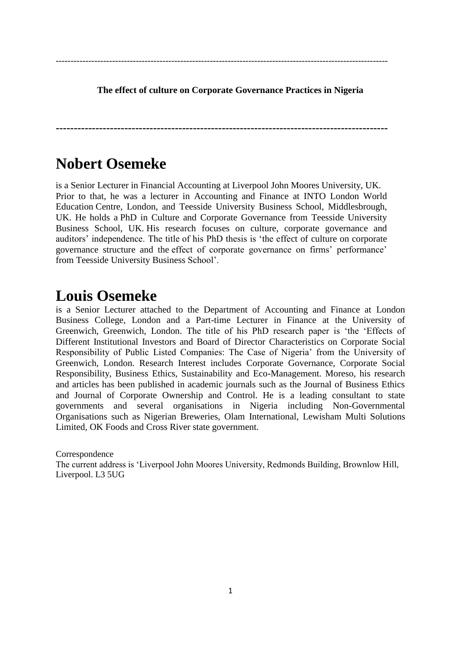----------------------------------------------------------------------------------------------------------------

**The effect of culture on Corporate Governance Practices in Nigeria**

**--------------------------------------------------------------------------------------------**

# **Nobert Osemeke**

is a Senior Lecturer in Financial Accounting at Liverpool John Moores University, UK. Prior to that, he was a lecturer in Accounting and Finance at INTO London World Education Centre, London, and Teesside University Business School, Middlesbrough, UK. He holds a PhD in Culture and Corporate Governance from Teesside University Business School, UK. His research focuses on culture, corporate governance and auditors' independence. The title of his PhD thesis is 'the effect of culture on corporate governance structure and the effect of corporate governance on firms' performance' from Teesside University Business School'.

# **Louis Osemeke**

is a Senior Lecturer attached to the Department of Accounting and Finance at London Business College, London and a Part-time Lecturer in Finance at the University of Greenwich, Greenwich, London. The title of his PhD research paper is 'the 'Effects of Different Institutional Investors and Board of Director Characteristics on Corporate Social Responsibility of Public Listed Companies: The Case of Nigeria' from the University of Greenwich, London. Research Interest includes Corporate Governance, Corporate Social Responsibility, Business Ethics, Sustainability and Eco-Management. Moreso, his research and articles has been published in academic journals such as the Journal of Business Ethics and Journal of Corporate Ownership and Control. He is a leading consultant to state governments and several organisations in Nigeria including Non-Governmental Organisations such as Nigerian Breweries, Olam International, Lewisham Multi Solutions Limited, OK Foods and Cross River state government.

**Correspondence** 

The current address is 'Liverpool John Moores University, Redmonds Building, Brownlow Hill, Liverpool. L3 5UG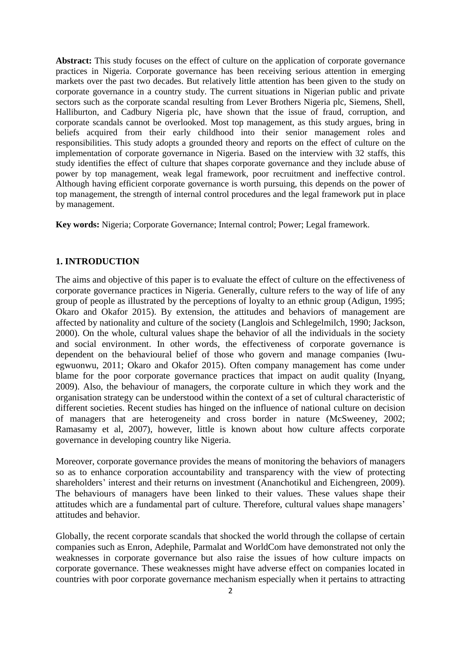Abstract: This study focuses on the effect of culture on the application of corporate governance practices in Nigeria. Corporate governance has been receiving serious attention in emerging markets over the past two decades. But relatively little attention has been given to the study on corporate governance in a country study. The current situations in Nigerian public and private sectors such as the corporate scandal resulting from Lever Brothers Nigeria plc, Siemens, Shell, Halliburton, and Cadbury Nigeria plc, have shown that the issue of fraud, corruption, and corporate scandals cannot be overlooked. Most top management, as this study argues, bring in beliefs acquired from their early childhood into their senior management roles and responsibilities. This study adopts a grounded theory and reports on the effect of culture on the implementation of corporate governance in Nigeria. Based on the interview with 32 staffs, this study identifies the effect of culture that shapes corporate governance and they include abuse of power by top management, weak legal framework, poor recruitment and ineffective control. Although having efficient corporate governance is worth pursuing, this depends on the power of top management, the strength of internal control procedures and the legal framework put in place by management.

**Key words:** Nigeria; Corporate Governance; Internal control; Power; Legal framework.

# **1. INTRODUCTION**

The aims and objective of this paper is to evaluate the effect of culture on the effectiveness of corporate governance practices in Nigeria. Generally, culture refers to the way of life of any group of people as illustrated by the perceptions of loyalty to an ethnic group (Adigun, 1995; Okaro and Okafor 2015). By extension, the attitudes and behaviors of management are affected by nationality and culture of the society (Langlois and Schlegelmilch, 1990; Jackson, 2000). On the whole, cultural values shape the behavior of all the individuals in the society and social environment. In other words, the effectiveness of corporate governance is dependent on the behavioural belief of those who govern and manage companies (Iwuegwuonwu, 2011; Okaro and Okafor 2015). Often company management has come under blame for the poor corporate governance practices that impact on audit quality (Inyang, 2009). Also, the behaviour of managers, the corporate culture in which they work and the organisation strategy can be understood within the context of a set of cultural characteristic of different societies. Recent studies has hinged on the influence of national culture on decision of managers that are heterogeneity and cross border in nature (McSweeney, 2002; Ramasamy et al, 2007), however, little is known about how culture affects corporate governance in developing country like Nigeria.

Moreover, corporate governance provides the means of monitoring the behaviors of managers so as to enhance corporation accountability and transparency with the view of protecting shareholders' interest and their returns on investment (Ananchotikul and Eichengreen, 2009). The behaviours of managers have been linked to their values. These values shape their attitudes which are a fundamental part of culture. Therefore, cultural values shape managers' attitudes and behavior.

Globally, the recent corporate scandals that shocked the world through the collapse of certain companies such as Enron, Adephile, Parmalat and WorldCom have demonstrated not only the weaknesses in corporate governance but also raise the issues of how culture impacts on corporate governance. These weaknesses might have adverse effect on companies located in countries with poor corporate governance mechanism especially when it pertains to attracting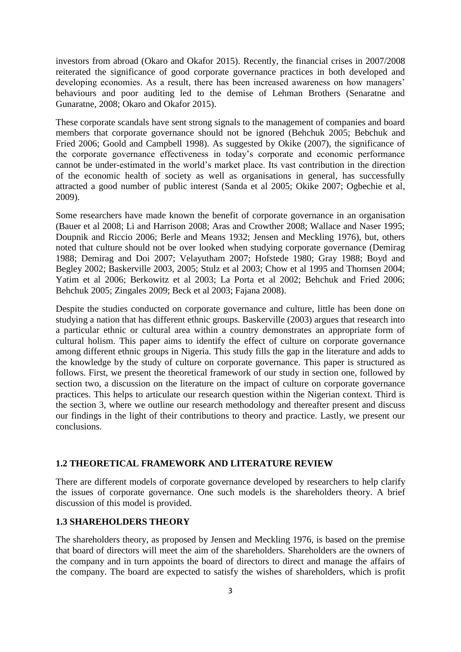investors from abroad (Okaro and Okafor 2015). Recently, the financial crises in 2007/2008 reiterated the significance of good corporate governance practices in both developed and developing economies. As a result, there has been increased awareness on how managers' behaviours and poor auditing led to the demise of Lehman Brothers (Senaratne and Gunaratne, 2008; Okaro and Okafor 2015).

These corporate scandals have sent strong signals to the management of companies and board members that corporate governance should not be ignored (Behchuk 2005; Bebchuk and Fried 2006; Goold and Campbell 1998). As suggested by Okike (2007), the significance of the corporate governance effectiveness in today's corporate and economic performance cannot be under-estimated in the world's market place. Its vast contribution in the direction of the economic health of society as well as organisations in general, has successfully attracted a good number of public interest (Sanda et al 2005; Okike 2007; Ogbechie et al, 2009).

Some researchers have made known the benefit of corporate governance in an organisation (Bauer et al 2008; Li and Harrison 2008; Aras and Crowther 2008; Wallace and Naser 1995; Doupnik and Riccio 2006; Berle and Means 1932; Jensen and Meckling 1976), but, others noted that culture should not be over looked when studying corporate governance (Demirag 1988; Demirag and Doi 2007; Velayutham 2007; Hofstede 1980; Gray 1988; Boyd and Begley 2002; Baskerville 2003, 2005; Stulz et al 2003; Chow et al 1995 and Thomsen 2004; Yatim et al 2006; Berkowitz et al 2003; La Porta et al 2002; Behchuk and Fried 2006; Behchuk 2005; Zingales 2009; Beck et al 2003; Fajana 2008).

Despite the studies conducted on corporate governance and culture, little has been done on studying a nation that has different ethnic groups. Baskerville (2003) argues that research into a particular ethnic or cultural area within a country demonstrates an appropriate form of cultural holism. This paper aims to identify the effect of culture on corporate governance among different ethnic groups in Nigeria. This study fills the gap in the literature and adds to the knowledge by the study of culture on corporate governance. This paper is structured as follows. First, we present the theoretical framework of our study in section one, followed by section two, a discussion on the literature on the impact of culture on corporate governance practices. This helps to articulate our research question within the Nigerian context. Third is the section 3, where we outline our research methodology and thereafter present and discuss our findings in the light of their contributions to theory and practice. Lastly, we present our conclusions.

#### **1.2 THEORETICAL FRAMEWORK AND LITERATURE REVIEW**

There are different models of corporate governance developed by researchers to help clarify the issues of corporate governance. One such models is the shareholders theory. A brief discussion of this model is provided.

## **1.3 SHAREHOLDERS THEORY**

The shareholders theory, as proposed by Jensen and Meckling 1976, is based on the premise that board of directors will meet the aim of the shareholders. Shareholders are the owners of the company and in turn appoints the board of directors to direct and manage the affairs of the company. The board are expected to satisfy the wishes of shareholders, which is profit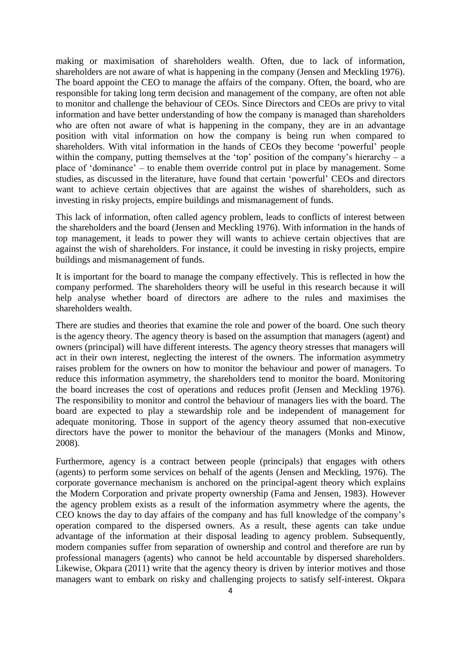making or maximisation of shareholders wealth. Often, due to lack of information, shareholders are not aware of what is happening in the company (Jensen and Meckling 1976). The board appoint the CEO to manage the affairs of the company. Often, the board, who are responsible for taking long term decision and management of the company, are often not able to monitor and challenge the behaviour of CEOs. Since Directors and CEOs are privy to vital information and have better understanding of how the company is managed than shareholders who are often not aware of what is happening in the company, they are in an advantage position with vital information on how the company is being run when compared to shareholders. With vital information in the hands of CEOs they become 'powerful' people within the company, putting themselves at the 'top' position of the company's hierarchy –  $a$ place of 'dominance' – to enable them override control put in place by management. Some studies, as discussed in the literature, have found that certain 'powerful' CEOs and directors want to achieve certain objectives that are against the wishes of shareholders, such as investing in risky projects, empire buildings and mismanagement of funds.

This lack of information, often called agency problem, leads to conflicts of interest between the shareholders and the board (Jensen and Meckling 1976). With information in the hands of top management, it leads to power they will wants to achieve certain objectives that are against the wish of shareholders. For instance, it could be investing in risky projects, empire buildings and mismanagement of funds.

It is important for the board to manage the company effectively. This is reflected in how the company performed. The shareholders theory will be useful in this research because it will help analyse whether board of directors are adhere to the rules and maximises the shareholders wealth.

There are studies and theories that examine the role and power of the board. One such theory is the agency theory. The agency theory is based on the assumption that managers (agent) and owners (principal) will have different interests. The agency theory stresses that managers will act in their own interest, neglecting the interest of the owners. The information asymmetry raises problem for the owners on how to monitor the behaviour and power of managers. To reduce this information asymmetry, the shareholders tend to monitor the board. Monitoring the board increases the cost of operations and reduces profit (Jensen and Meckling 1976). The responsibility to monitor and control the behaviour of managers lies with the board. The board are expected to play a stewardship role and be independent of management for adequate monitoring. Those in support of the agency theory assumed that non-executive directors have the power to monitor the behaviour of the managers (Monks and Minow, 2008).

Furthermore, agency is a contract between people (principals) that engages with others (agents) to perform some services on behalf of the agents (Jensen and Meckling, 1976). The corporate governance mechanism is anchored on the principal-agent theory which explains the Modern Corporation and private property ownership (Fama and Jensen, 1983). However the agency problem exists as a result of the information asymmetry where the agents, the CEO knows the day to day affairs of the company and has full knowledge of the company's operation compared to the dispersed owners. As a result, these agents can take undue advantage of the information at their disposal leading to agency problem. Subsequently, modern companies suffer from separation of ownership and control and therefore are run by professional managers (agents) who cannot be held accountable by dispersed shareholders. Likewise, Okpara (2011) write that the agency theory is driven by interior motives and those managers want to embark on risky and challenging projects to satisfy self-interest. Okpara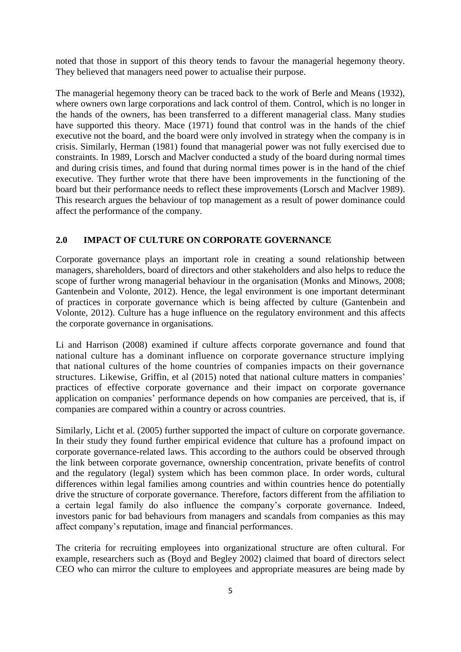noted that those in support of this theory tends to favour the managerial hegemony theory. They believed that managers need power to actualise their purpose.

The managerial hegemony theory can be traced back to the work of Berle and Means (1932), where owners own large corporations and lack control of them. Control, which is no longer in the hands of the owners, has been transferred to a different managerial class. Many studies have supported this theory. Mace (1971) found that control was in the hands of the chief executive not the board, and the board were only involved in strategy when the company is in crisis. Similarly, Herman (1981) found that managerial power was not fully exercised due to constraints. In 1989, Lorsch and Maclver conducted a study of the board during normal times and during crisis times, and found that during normal times power is in the hand of the chief executive. They further wrote that there have been improvements in the functioning of the board but their performance needs to reflect these improvements (Lorsch and Maclver 1989). This research argues the behaviour of top management as a result of power dominance could affect the performance of the company.

### **2.0 IMPACT OF CULTURE ON CORPORATE GOVERNANCE**

Corporate governance plays an important role in creating a sound relationship between managers, shareholders, board of directors and other stakeholders and also helps to reduce the scope of further wrong managerial behaviour in the organisation (Monks and Minows, 2008; Gantenbein and Volonte, 2012). Hence, the legal environment is one important determinant of practices in corporate governance which is being affected by culture (Gantenbein and Volonte, 2012). Culture has a huge influence on the regulatory environment and this affects the corporate governance in organisations.

Li and Harrison (2008) examined if culture affects corporate governance and found that national culture has a dominant influence on corporate governance structure implying that national cultures of the home countries of companies impacts on their governance structures. Likewise, Griffin, et al (2015) noted that national culture matters in companies' practices of effective corporate governance and their impact on corporate governance application on companies' performance depends on how companies are perceived, that is, if companies are compared within a country or across countries.

Similarly, Licht et al. (2005) further supported the impact of culture on corporate governance. In their study they found further empirical evidence that culture has a profound impact on corporate governance-related laws. This according to the authors could be observed through the link between corporate governance, ownership concentration, private benefits of control and the regulatory (legal) system which has been common place. In order words, cultural differences within legal families among countries and within countries hence do potentially drive the structure of corporate governance. Therefore, factors different from the affiliation to a certain legal family do also influence the company's corporate governance. Indeed, investors panic for bad behaviours from managers and scandals from companies as this may affect company's reputation, image and financial performances.

The criteria for recruiting employees into organizational structure are often cultural. For example, researchers such as (Boyd and Begley 2002) claimed that board of directors select CEO who can mirror the culture to employees and appropriate measures are being made by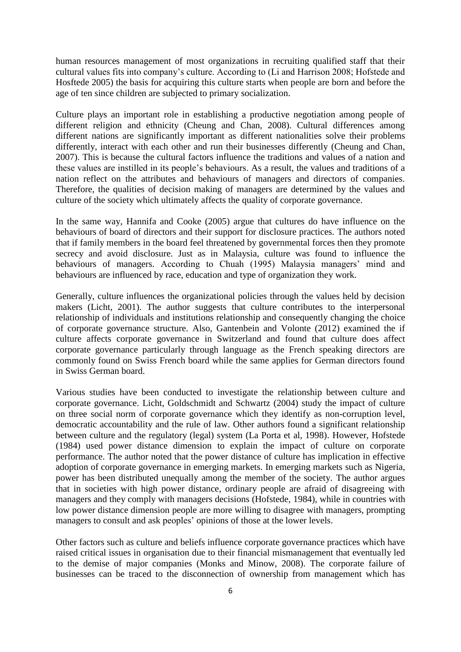human resources management of most organizations in recruiting qualified staff that their cultural values fits into company's culture. According to (Li and Harrison 2008; Hofstede and Hosftede 2005) the basis for acquiring this culture starts when people are born and before the age of ten since children are subjected to primary socialization.

Culture plays an important role in establishing a productive negotiation among people of different religion and ethnicity (Cheung and Chan, 2008). Cultural differences among different nations are significantly important as different nationalities solve their problems differently, interact with each other and run their businesses differently (Cheung and Chan, 2007). This is because the cultural factors influence the traditions and values of a nation and these values are instilled in its people's behaviours. As a result, the values and traditions of a nation reflect on the attributes and behaviours of managers and directors of companies. Therefore, the qualities of decision making of managers are determined by the values and culture of the society which ultimately affects the quality of corporate governance.

In the same way, Hannifa and Cooke (2005) argue that cultures do have influence on the behaviours of board of directors and their support for disclosure practices. The authors noted that if family members in the board feel threatened by governmental forces then they promote secrecy and avoid disclosure. Just as in Malaysia, culture was found to influence the behaviours of managers. According to Chuah (1995) Malaysia managers' mind and behaviours are influenced by race, education and type of organization they work.

Generally, culture influences the organizational policies through the values held by decision makers (Licht, 2001). The author suggests that culture contributes to the interpersonal relationship of individuals and institutions relationship and consequently changing the choice of corporate governance structure. Also, Gantenbein and Volonte (2012) examined the if culture affects corporate governance in Switzerland and found that culture does affect corporate governance particularly through language as the French speaking directors are commonly found on Swiss French board while the same applies for German directors found in Swiss German board.

Various studies have been conducted to investigate the relationship between culture and corporate governance. Licht, Goldschmidt and Schwartz (2004) study the impact of culture on three social norm of corporate governance which they identify as non-corruption level, democratic accountability and the rule of law. Other authors found a significant relationship between culture and the regulatory (legal) system (La Porta et al, 1998). However, Hofstede (1984) used power distance dimension to explain the impact of culture on corporate performance. The author noted that the power distance of culture has implication in effective adoption of corporate governance in emerging markets. In emerging markets such as Nigeria, power has been distributed unequally among the member of the society. The author argues that in societies with high power distance, ordinary people are afraid of disagreeing with managers and they comply with managers decisions (Hofstede, 1984), while in countries with low power distance dimension people are more willing to disagree with managers, prompting managers to consult and ask peoples' opinions of those at the lower levels.

Other factors such as culture and beliefs influence corporate governance practices which have raised critical issues in organisation due to their financial mismanagement that eventually led to the demise of major companies (Monks and Minow, 2008). The corporate failure of businesses can be traced to the disconnection of ownership from management which has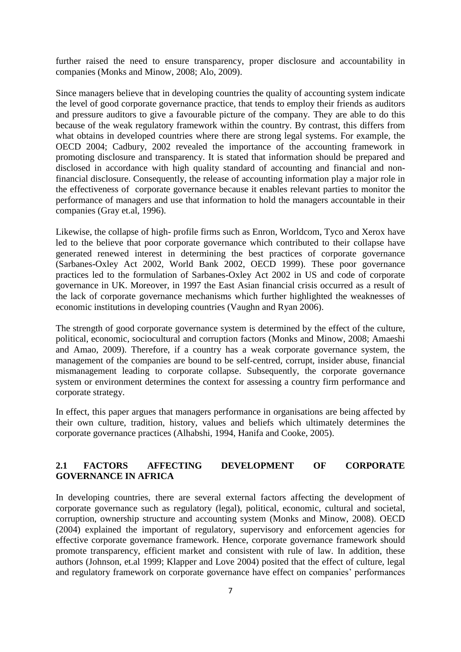further raised the need to ensure transparency, proper disclosure and accountability in companies (Monks and Minow, 2008; Alo, 2009).

Since managers believe that in developing countries the quality of accounting system indicate the level of good corporate governance practice, that tends to employ their friends as auditors and pressure auditors to give a favourable picture of the company. They are able to do this because of the weak regulatory framework within the country. By contrast, this differs from what obtains in developed countries where there are strong legal systems. For example, the OECD 2004; Cadbury, 2002 revealed the importance of the accounting framework in promoting disclosure and transparency. It is stated that information should be prepared and disclosed in accordance with high quality standard of accounting and financial and nonfinancial disclosure. Consequently, the release of accounting information play a major role in the effectiveness of corporate governance because it enables relevant parties to monitor the performance of managers and use that information to hold the managers accountable in their companies (Gray et.al, 1996).

Likewise, the collapse of high- profile firms such as Enron, Worldcom, Tyco and Xerox have led to the believe that poor corporate governance which contributed to their collapse have generated renewed interest in determining the best practices of corporate governance (Sarbanes-Oxley Act 2002, World Bank 2002, OECD 1999). These poor governance practices led to the formulation of Sarbanes-Oxley Act 2002 in US and code of corporate governance in UK. Moreover, in 1997 the East Asian financial crisis occurred as a result of the lack of corporate governance mechanisms which further highlighted the weaknesses of economic institutions in developing countries (Vaughn and Ryan 2006).

The strength of good corporate governance system is determined by the effect of the culture, political, economic, sociocultural and corruption factors (Monks and Minow, 2008; Amaeshi and Amao, 2009). Therefore, if a country has a weak corporate governance system, the management of the companies are bound to be self-centred, corrupt, insider abuse, financial mismanagement leading to corporate collapse. Subsequently, the corporate governance system or environment determines the context for assessing a country firm performance and corporate strategy.

In effect, this paper argues that managers performance in organisations are being affected by their own culture, tradition, history, values and beliefs which ultimately determines the corporate governance practices (Alhabshi, 1994, Hanifa and Cooke, 2005).

# **2.1 FACTORS AFFECTING DEVELOPMENT OF CORPORATE GOVERNANCE IN AFRICA**

In developing countries, there are several external factors affecting the development of corporate governance such as regulatory (legal), political, economic, cultural and societal, corruption, ownership structure and accounting system (Monks and Minow, 2008). OECD (2004) explained the important of regulatory, supervisory and enforcement agencies for effective corporate governance framework. Hence, corporate governance framework should promote transparency, efficient market and consistent with rule of law. In addition, these authors (Johnson, et.al 1999; Klapper and Love 2004) posited that the effect of culture, legal and regulatory framework on corporate governance have effect on companies' performances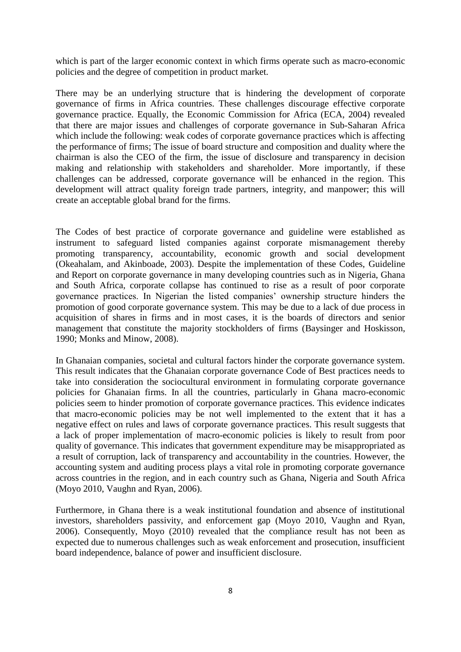which is part of the larger economic context in which firms operate such as macro-economic policies and the degree of competition in product market.

There may be an underlying structure that is hindering the development of corporate governance of firms in Africa countries. These challenges discourage effective corporate governance practice. Equally, the Economic Commission for Africa (ECA, 2004) revealed that there are major issues and challenges of corporate governance in Sub-Saharan Africa which include the following: weak codes of corporate governance practices which is affecting the performance of firms; The issue of board structure and composition and duality where the chairman is also the CEO of the firm, the issue of disclosure and transparency in decision making and relationship with stakeholders and shareholder. More importantly, if these challenges can be addressed, corporate governance will be enhanced in the region. This development will attract quality foreign trade partners, integrity, and manpower; this will create an acceptable global brand for the firms.

The Codes of best practice of corporate governance and guideline were established as instrument to safeguard listed companies against corporate mismanagement thereby promoting transparency, accountability, economic growth and social development (Okeahalam, and Akinboade, 2003). Despite the implementation of these Codes, Guideline and Report on corporate governance in many developing countries such as in Nigeria, Ghana and South Africa, corporate collapse has continued to rise as a result of poor corporate governance practices. In Nigerian the listed companies' ownership structure hinders the promotion of good corporate governance system. This may be due to a lack of due process in acquisition of shares in firms and in most cases, it is the boards of directors and senior management that constitute the majority stockholders of firms (Baysinger and Hoskisson, 1990; Monks and Minow, 2008).

In Ghanaian companies, societal and cultural factors hinder the corporate governance system. This result indicates that the Ghanaian corporate governance Code of Best practices needs to take into consideration the sociocultural environment in formulating corporate governance policies for Ghanaian firms. In all the countries, particularly in Ghana macro-economic policies seem to hinder promotion of corporate governance practices. This evidence indicates that macro-economic policies may be not well implemented to the extent that it has a negative effect on rules and laws of corporate governance practices. This result suggests that a lack of proper implementation of macro-economic policies is likely to result from poor quality of governance. This indicates that government expenditure may be misappropriated as a result of corruption, lack of transparency and accountability in the countries. However, the accounting system and auditing process plays a vital role in promoting corporate governance across countries in the region, and in each country such as Ghana, Nigeria and South Africa (Moyo 2010, Vaughn and Ryan, 2006).

Furthermore, in Ghana there is a weak institutional foundation and absence of institutional investors, shareholders passivity, and enforcement gap (Moyo 2010, Vaughn and Ryan, 2006). Consequently, Moyo (2010) revealed that the compliance result has not been as expected due to numerous challenges such as weak enforcement and prosecution, insufficient board independence, balance of power and insufficient disclosure.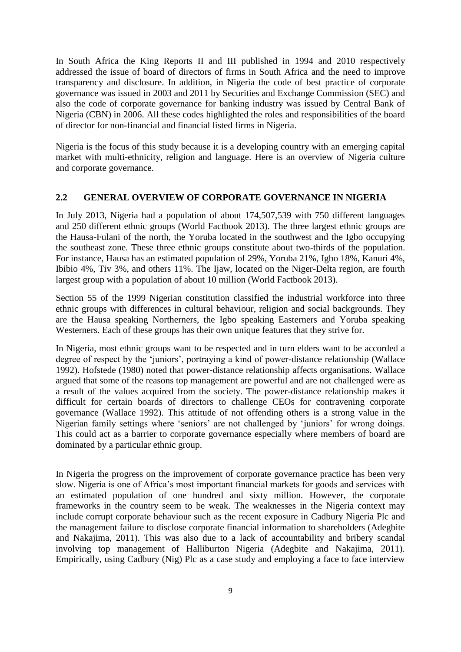In South Africa the King Reports II and III published in 1994 and 2010 respectively addressed the issue of board of directors of firms in South Africa and the need to improve transparency and disclosure. In addition, in Nigeria the code of best practice of corporate governance was issued in 2003 and 2011 by Securities and Exchange Commission (SEC) and also the code of corporate governance for banking industry was issued by Central Bank of Nigeria (CBN) in 2006. All these codes highlighted the roles and responsibilities of the board of director for non-financial and financial listed firms in Nigeria.

Nigeria is the focus of this study because it is a developing country with an emerging capital market with multi-ethnicity, religion and language. Here is an overview of Nigeria culture and corporate governance.

### **2.2 GENERAL OVERVIEW OF CORPORATE GOVERNANCE IN NIGERIA**

In July 2013, Nigeria had a population of about 174,507,539 with 750 different languages and 250 different ethnic groups (World Factbook 2013). The three largest ethnic groups are the Hausa-Fulani of the north, the Yoruba located in the southwest and the Igbo occupying the southeast zone. These three ethnic groups constitute about two-thirds of the population. For instance, Hausa has an estimated population of 29%, Yoruba 21%, Igbo 18%, Kanuri 4%, Ibibio 4%, Tiv 3%, and others 11%. The Ijaw, located on the Niger-Delta region, are fourth largest group with a population of about 10 million (World Factbook 2013).

Section 55 of the 1999 Nigerian constitution classified the industrial workforce into three ethnic groups with differences in cultural behaviour, religion and social backgrounds. They are the Hausa speaking Northerners, the Igbo speaking Easterners and Yoruba speaking Westerners. Each of these groups has their own unique features that they strive for.

In Nigeria, most ethnic groups want to be respected and in turn elders want to be accorded a degree of respect by the 'juniors', portraying a kind of power-distance relationship (Wallace 1992). Hofstede (1980) noted that power-distance relationship affects organisations. Wallace argued that some of the reasons top management are powerful and are not challenged were as a result of the values acquired from the society. The power-distance relationship makes it difficult for certain boards of directors to challenge CEOs for contravening corporate governance (Wallace 1992). This attitude of not offending others is a strong value in the Nigerian family settings where 'seniors' are not challenged by 'juniors' for wrong doings. This could act as a barrier to corporate governance especially where members of board are dominated by a particular ethnic group.

In Nigeria the progress on the improvement of corporate governance practice has been very slow. Nigeria is one of Africa's most important financial markets for goods and services with an estimated population of one hundred and sixty million. However, the corporate frameworks in the country seem to be weak. The weaknesses in the Nigeria context may include corrupt corporate behaviour such as the recent exposure in Cadbury Nigeria Plc and the management failure to disclose corporate financial information to shareholders (Adegbite and Nakajima, 2011). This was also due to a lack of accountability and bribery scandal involving top management of Halliburton Nigeria (Adegbite and Nakajima, 2011). Empirically, using Cadbury (Nig) Plc as a case study and employing a face to face interview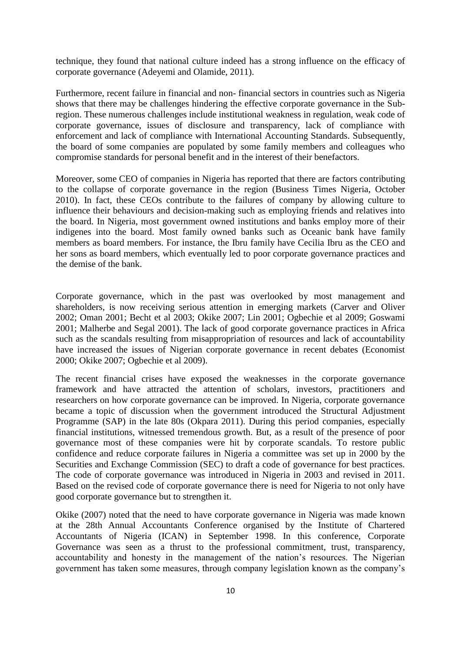technique, they found that national culture indeed has a strong influence on the efficacy of corporate governance (Adeyemi and Olamide, 2011).

Furthermore, recent failure in financial and non- financial sectors in countries such as Nigeria shows that there may be challenges hindering the effective corporate governance in the Subregion. These numerous challenges include institutional weakness in regulation, weak code of corporate governance, issues of disclosure and transparency, lack of compliance with enforcement and lack of compliance with International Accounting Standards. Subsequently, the board of some companies are populated by some family members and colleagues who compromise standards for personal benefit and in the interest of their benefactors.

Moreover, some CEO of companies in Nigeria has reported that there are factors contributing to the collapse of corporate governance in the region (Business Times Nigeria, October 2010). In fact, these CEOs contribute to the failures of company by allowing culture to influence their behaviours and decision-making such as employing friends and relatives into the board. In Nigeria, most government owned institutions and banks employ more of their indigenes into the board. Most family owned banks such as Oceanic bank have family members as board members. For instance, the Ibru family have Cecilia Ibru as the CEO and her sons as board members, which eventually led to poor corporate governance practices and the demise of the bank.

Corporate governance, which in the past was overlooked by most management and shareholders, is now receiving serious attention in emerging markets (Carver and Oliver 2002; Oman 2001; Becht et al 2003; Okike 2007; Lin 2001; Ogbechie et al 2009; Goswami 2001; Malherbe and Segal 2001). The lack of good corporate governance practices in Africa such as the scandals resulting from misappropriation of resources and lack of accountability have increased the issues of Nigerian corporate governance in recent debates (Economist 2000; Okike 2007; Ogbechie et al 2009).

The recent financial crises have exposed the weaknesses in the corporate governance framework and have attracted the attention of scholars, investors, practitioners and researchers on how corporate governance can be improved. In Nigeria, corporate governance became a topic of discussion when the government introduced the Structural Adjustment Programme (SAP) in the late 80s (Okpara 2011). During this period companies, especially financial institutions, witnessed tremendous growth. But, as a result of the presence of poor governance most of these companies were hit by corporate scandals. To restore public confidence and reduce corporate failures in Nigeria a committee was set up in 2000 by the Securities and Exchange Commission (SEC) to draft a code of governance for best practices. The code of corporate governance was introduced in Nigeria in 2003 and revised in 2011. Based on the revised code of corporate governance there is need for Nigeria to not only have good corporate governance but to strengthen it.

Okike (2007) noted that the need to have corporate governance in Nigeria was made known at the 28th Annual Accountants Conference organised by the Institute of Chartered Accountants of Nigeria (ICAN) in September 1998. In this conference, Corporate Governance was seen as a thrust to the professional commitment, trust, transparency, accountability and honesty in the management of the nation's resources. The Nigerian government has taken some measures, through company legislation known as the company's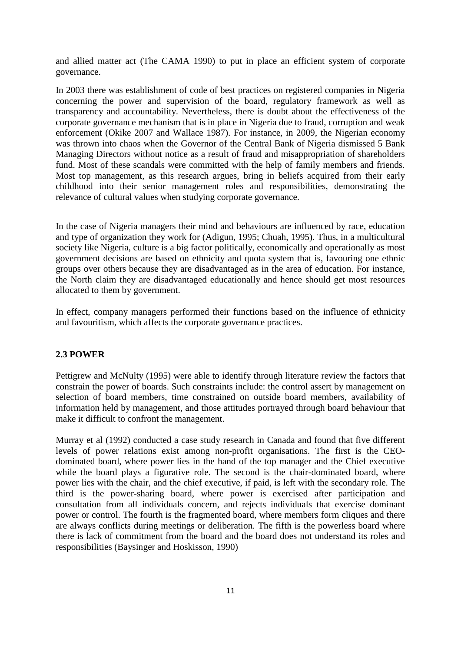and allied matter act (The CAMA 1990) to put in place an efficient system of corporate governance.

In 2003 there was establishment of code of best practices on registered companies in Nigeria concerning the power and supervision of the board, regulatory framework as well as transparency and accountability. Nevertheless, there is doubt about the effectiveness of the corporate governance mechanism that is in place in Nigeria due to fraud, corruption and weak enforcement (Okike 2007 and Wallace 1987). For instance, in 2009, the Nigerian economy was thrown into chaos when the Governor of the Central Bank of Nigeria dismissed 5 Bank Managing Directors without notice as a result of fraud and misappropriation of shareholders fund. Most of these scandals were committed with the help of family members and friends. Most top management, as this research argues, bring in beliefs acquired from their early childhood into their senior management roles and responsibilities, demonstrating the relevance of cultural values when studying corporate governance.

In the case of Nigeria managers their mind and behaviours are influenced by race, education and type of organization they work for (Adigun, 1995; Chuah, 1995). Thus, in a multicultural society like Nigeria, culture is a big factor politically, economically and operationally as most government decisions are based on ethnicity and quota system that is, favouring one ethnic groups over others because they are disadvantaged as in the area of education. For instance, the North claim they are disadvantaged educationally and hence should get most resources allocated to them by government.

In effect, company managers performed their functions based on the influence of ethnicity and favouritism, which affects the corporate governance practices.

#### **2.3 POWER**

Pettigrew and McNulty (1995) were able to identify through literature review the factors that constrain the power of boards. Such constraints include: the control assert by management on selection of board members, time constrained on outside board members, availability of information held by management, and those attitudes portrayed through board behaviour that make it difficult to confront the management.

Murray et al (1992) conducted a case study research in Canada and found that five different levels of power relations exist among non-profit organisations. The first is the CEOdominated board, where power lies in the hand of the top manager and the Chief executive while the board plays a figurative role. The second is the chair-dominated board, where power lies with the chair, and the chief executive, if paid, is left with the secondary role. The third is the power-sharing board, where power is exercised after participation and consultation from all individuals concern, and rejects individuals that exercise dominant power or control. The fourth is the fragmented board, where members form cliques and there are always conflicts during meetings or deliberation. The fifth is the powerless board where there is lack of commitment from the board and the board does not understand its roles and responsibilities (Baysinger and Hoskisson, 1990)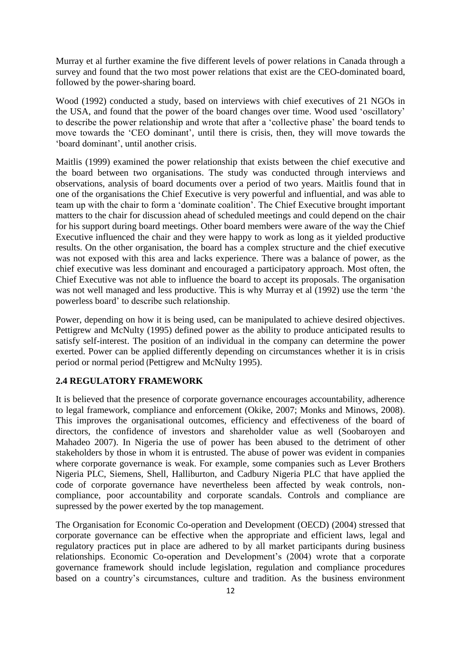Murray et al further examine the five different levels of power relations in Canada through a survey and found that the two most power relations that exist are the CEO-dominated board, followed by the power-sharing board.

Wood (1992) conducted a study, based on interviews with chief executives of 21 NGOs in the USA, and found that the power of the board changes over time. Wood used 'oscillatory' to describe the power relationship and wrote that after a 'collective phase' the board tends to move towards the 'CEO dominant', until there is crisis, then, they will move towards the 'board dominant', until another crisis.

Maitlis (1999) examined the power relationship that exists between the chief executive and the board between two organisations. The study was conducted through interviews and observations, analysis of board documents over a period of two years. Maitlis found that in one of the organisations the Chief Executive is very powerful and influential, and was able to team up with the chair to form a 'dominate coalition'. The Chief Executive brought important matters to the chair for discussion ahead of scheduled meetings and could depend on the chair for his support during board meetings. Other board members were aware of the way the Chief Executive influenced the chair and they were happy to work as long as it yielded productive results. On the other organisation, the board has a complex structure and the chief executive was not exposed with this area and lacks experience. There was a balance of power, as the chief executive was less dominant and encouraged a participatory approach. Most often, the Chief Executive was not able to influence the board to accept its proposals. The organisation was not well managed and less productive. This is why Murray et al (1992) use the term 'the powerless board' to describe such relationship.

Power, depending on how it is being used, can be manipulated to achieve desired objectives. Pettigrew and McNulty (1995) defined power as the ability to produce anticipated results to satisfy self-interest. The position of an individual in the company can determine the power exerted. Power can be applied differently depending on circumstances whether it is in crisis period or normal period (Pettigrew and McNulty 1995).

# **2.4 REGULATORY FRAMEWORK**

It is believed that the presence of corporate governance encourages accountability, adherence to legal framework, compliance and enforcement (Okike, 2007; Monks and Minows, 2008). This improves the organisational outcomes, efficiency and effectiveness of the board of directors, the confidence of investors and shareholder value as well (Soobaroyen and Mahadeo 2007). In Nigeria the use of power has been abused to the detriment of other stakeholders by those in whom it is entrusted. The abuse of power was evident in companies where corporate governance is weak. For example, some companies such as Lever Brothers Nigeria PLC, Siemens, Shell, Halliburton, and Cadbury Nigeria PLC that have applied the code of corporate governance have nevertheless been affected by weak controls, noncompliance, poor accountability and corporate scandals. Controls and compliance are supressed by the power exerted by the top management.

The Organisation for Economic Co-operation and Development (OECD) (2004) stressed that corporate governance can be effective when the appropriate and efficient laws, legal and regulatory practices put in place are adhered to by all market participants during business relationships. Economic Co-operation and Development's (2004) wrote that a corporate governance framework should include legislation, regulation and compliance procedures based on a country's circumstances, culture and tradition. As the business environment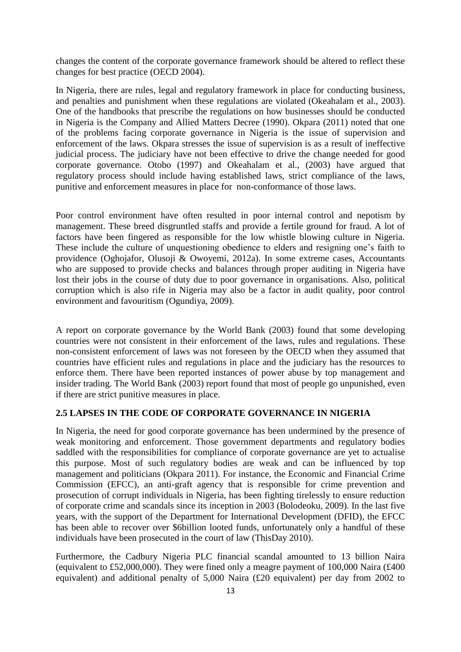changes the content of the corporate governance framework should be altered to reflect these changes for best practice (OECD 2004).

In Nigeria, there are rules, legal and regulatory framework in place for conducting business, and penalties and punishment when these regulations are violated (Okeahalam et al., 2003). One of the handbooks that prescribe the regulations on how businesses should be conducted in Nigeria is the Company and Allied Matters Decree (1990). Okpara (2011) noted that one of the problems facing corporate governance in Nigeria is the issue of supervision and enforcement of the laws. Okpara stresses the issue of supervision is as a result of ineffective judicial process. The judiciary have not been effective to drive the change needed for good corporate governance. Otobo (1997) and Okeahalam et al., (2003) have argued that regulatory process should include having established laws, strict compliance of the laws, punitive and enforcement measures in place for non-conformance of those laws.

Poor control environment have often resulted in poor internal control and nepotism by management. These breed disgruntled staffs and provide a fertile ground for fraud. A lot of factors have been fingered as responsible for the low whistle blowing culture in Nigeria. These include the culture of unquestioning obedience to elders and resigning one's faith to providence (Oghojafor, Olusoji & Owoyemi, 2012a). In some extreme cases, Accountants who are supposed to provide checks and balances through proper auditing in Nigeria have lost their jobs in the course of duty due to poor governance in organisations. Also, political corruption which is also rife in Nigeria may also be a factor in audit quality, poor control environment and favouritism (Ogundiya, 2009).

A report on corporate governance by the World Bank (2003) found that some developing countries were not consistent in their enforcement of the laws, rules and regulations. These non-consistent enforcement of laws was not foreseen by the OECD when they assumed that countries have efficient rules and regulations in place and the judiciary has the resources to enforce them. There have been reported instances of power abuse by top management and insider trading. The World Bank (2003) report found that most of people go unpunished, even if there are strict punitive measures in place.

### **2.5 LAPSES IN THE CODE OF CORPORATE GOVERNANCE IN NIGERIA**

In Nigeria, the need for good corporate governance has been undermined by the presence of weak monitoring and enforcement. Those government departments and regulatory bodies saddled with the responsibilities for compliance of corporate governance are yet to actualise this purpose. Most of such regulatory bodies are weak and can be influenced by top management and politicians (Okpara 2011). For instance, the Economic and Financial Crime Commission (EFCC), an anti-graft agency that is responsible for crime prevention and prosecution of corrupt individuals in Nigeria, has been fighting tirelessly to ensure reduction of corporate crime and scandals since its inception in 2003 (Bolodeoku, 2009). In the last five years, with the support of the Department for International Development (DFID), the EFCC has been able to recover over \$6billion looted funds, unfortunately only a handful of these individuals have been prosecuted in the court of law (ThisDay 2010).

Furthermore, the Cadbury Nigeria PLC financial scandal amounted to 13 billion Naira (equivalent to £52,000,000). They were fined only a meagre payment of 100,000 Naira (£400 equivalent) and additional penalty of 5,000 Naira (£20 equivalent) per day from 2002 to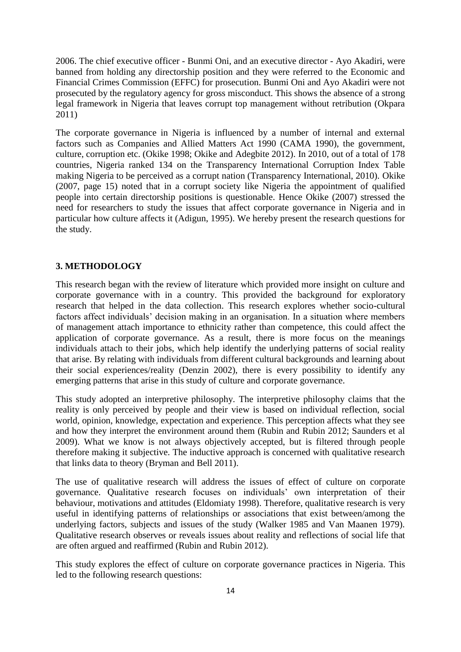2006. The chief executive officer - Bunmi Oni, and an executive director - Ayo Akadiri, were banned from holding any directorship position and they were referred to the Economic and Financial Crimes Commission (EFFC) for prosecution. Bunmi Oni and Ayo Akadiri were not prosecuted by the regulatory agency for gross misconduct. This shows the absence of a strong legal framework in Nigeria that leaves corrupt top management without retribution (Okpara 2011)

The corporate governance in Nigeria is influenced by a number of internal and external factors such as Companies and Allied Matters Act 1990 (CAMA 1990), the government, culture, corruption etc. (Okike 1998; Okike and Adegbite 2012). In 2010, out of a total of 178 countries, Nigeria ranked 134 on the Transparency International Corruption Index Table making Nigeria to be perceived as a corrupt nation (Transparency International, 2010). Okike (2007, page 15) noted that in a corrupt society like Nigeria the appointment of qualified people into certain directorship positions is questionable. Hence Okike (2007) stressed the need for researchers to study the issues that affect corporate governance in Nigeria and in particular how culture affects it (Adigun, 1995). We hereby present the research questions for the study.

#### **3. METHODOLOGY**

This research began with the review of literature which provided more insight on culture and corporate governance with in a country. This provided the background for exploratory research that helped in the data collection. This research explores whether socio-cultural factors affect individuals' decision making in an organisation. In a situation where members of management attach importance to ethnicity rather than competence, this could affect the application of corporate governance. As a result, there is more focus on the meanings individuals attach to their jobs, which help identify the underlying patterns of social reality that arise. By relating with individuals from different cultural backgrounds and learning about their social experiences/reality (Denzin 2002), there is every possibility to identify any emerging patterns that arise in this study of culture and corporate governance.

This study adopted an interpretive philosophy. The interpretive philosophy claims that the reality is only perceived by people and their view is based on individual reflection, social world, opinion, knowledge, expectation and experience. This perception affects what they see and how they interpret the environment around them (Rubin and Rubin 2012; Saunders et al 2009). What we know is not always objectively accepted, but is filtered through people therefore making it subjective. The inductive approach is concerned with qualitative research that links data to theory (Bryman and Bell 2011).

The use of qualitative research will address the issues of effect of culture on corporate governance. Qualitative research focuses on individuals' own interpretation of their behaviour, motivations and attitudes (Eldomiaty 1998). Therefore, qualitative research is very useful in identifying patterns of relationships or associations that exist between/among the underlying factors, subjects and issues of the study (Walker 1985 and Van Maanen 1979). Qualitative research observes or reveals issues about reality and reflections of social life that are often argued and reaffirmed (Rubin and Rubin 2012).

This study explores the effect of culture on corporate governance practices in Nigeria. This led to the following research questions: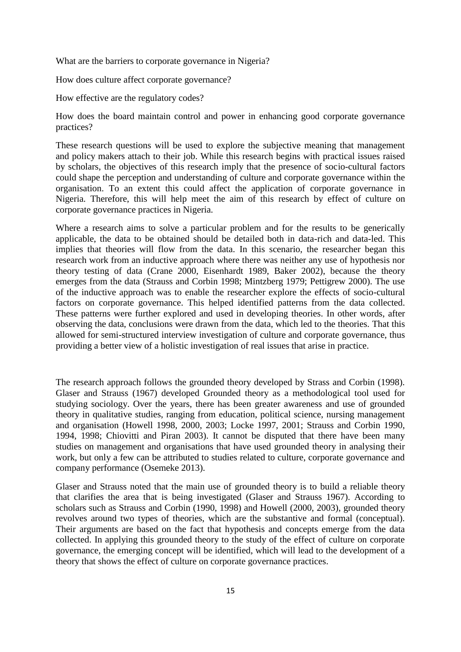What are the barriers to corporate governance in Nigeria?

How does culture affect corporate governance?

How effective are the regulatory codes?

How does the board maintain control and power in enhancing good corporate governance practices?

These research questions will be used to explore the subjective meaning that management and policy makers attach to their job. While this research begins with practical issues raised by scholars, the objectives of this research imply that the presence of socio-cultural factors could shape the perception and understanding of culture and corporate governance within the organisation. To an extent this could affect the application of corporate governance in Nigeria. Therefore, this will help meet the aim of this research by effect of culture on corporate governance practices in Nigeria.

Where a research aims to solve a particular problem and for the results to be generically applicable, the data to be obtained should be detailed both in data-rich and data-led. This implies that theories will flow from the data. In this scenario, the researcher began this research work from an inductive approach where there was neither any use of hypothesis nor theory testing of data (Crane 2000, Eisenhardt 1989, Baker 2002), because the theory emerges from the data (Strauss and Corbin 1998; Mintzberg 1979; Pettigrew 2000). The use of the inductive approach was to enable the researcher explore the effects of socio-cultural factors on corporate governance. This helped identified patterns from the data collected. These patterns were further explored and used in developing theories. In other words, after observing the data, conclusions were drawn from the data, which led to the theories. That this allowed for semi-structured interview investigation of culture and corporate governance, thus providing a better view of a holistic investigation of real issues that arise in practice.

The research approach follows the grounded theory developed by Strass and Corbin (1998). Glaser and Strauss (1967) developed Grounded theory as a methodological tool used for studying sociology. Over the years, there has been greater awareness and use of grounded theory in qualitative studies, ranging from education, political science, nursing management and organisation (Howell 1998, 2000, 2003; Locke 1997, 2001; Strauss and Corbin 1990, 1994, 1998; Chiovitti and Piran 2003). It cannot be disputed that there have been many studies on management and organisations that have used grounded theory in analysing their work, but only a few can be attributed to studies related to culture, corporate governance and company performance (Osemeke 2013).

Glaser and Strauss noted that the main use of grounded theory is to build a reliable theory that clarifies the area that is being investigated (Glaser and Strauss 1967). According to scholars such as Strauss and Corbin (1990, 1998) and Howell (2000, 2003), grounded theory revolves around two types of theories, which are the substantive and formal (conceptual). Their arguments are based on the fact that hypothesis and concepts emerge from the data collected. In applying this grounded theory to the study of the effect of culture on corporate governance, the emerging concept will be identified, which will lead to the development of a theory that shows the effect of culture on corporate governance practices.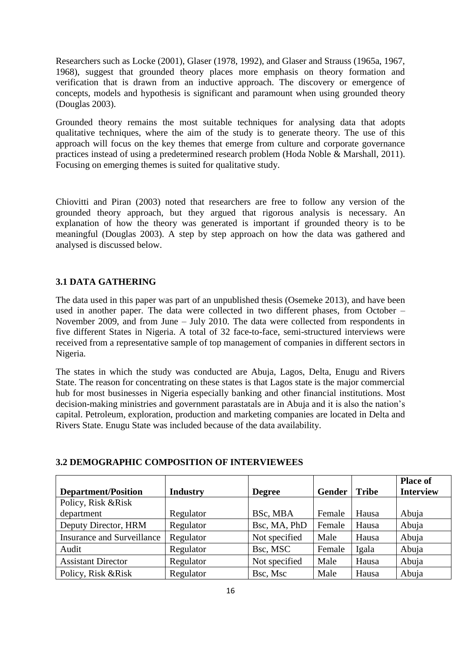Researchers such as Locke (2001), Glaser (1978, 1992), and Glaser and Strauss (1965a, 1967, 1968), suggest that grounded theory places more emphasis on theory formation and verification that is drawn from an inductive approach. The discovery or emergence of concepts, models and hypothesis is significant and paramount when using grounded theory (Douglas 2003).

Grounded theory remains the most suitable techniques for analysing data that adopts qualitative techniques, where the aim of the study is to generate theory. The use of this approach will focus on the key themes that emerge from culture and corporate governance practices instead of using a predetermined research problem (Hoda Noble & Marshall, 2011). Focusing on emerging themes is suited for qualitative study.

Chiovitti and Piran (2003) noted that researchers are free to follow any version of the grounded theory approach, but they argued that rigorous analysis is necessary. An explanation of how the theory was generated is important if grounded theory is to be meaningful (Douglas 2003). A step by step approach on how the data was gathered and analysed is discussed below.

#### **3.1 DATA GATHERING**

The data used in this paper was part of an unpublished thesis (Osemeke 2013), and have been used in another paper. The data were collected in two different phases, from October – November 2009, and from June – July 2010. The data were collected from respondents in five different States in Nigeria. A total of 32 face-to-face, semi-structured interviews were received from a representative sample of top management of companies in different sectors in Nigeria.

The states in which the study was conducted are Abuja, Lagos, Delta, Enugu and Rivers State. The reason for concentrating on these states is that Lagos state is the major commercial hub for most businesses in Nigeria especially banking and other financial institutions. Most decision-making ministries and government parastatals are in Abuja and it is also the nation's capital. Petroleum, exploration, production and marketing companies are located in Delta and Rivers State. Enugu State was included because of the data availability.

|                                   |                 |               |               |              | <b>Place of</b>  |
|-----------------------------------|-----------------|---------------|---------------|--------------|------------------|
| <b>Department/Position</b>        | <b>Industry</b> | <b>Degree</b> | <b>Gender</b> | <b>Tribe</b> | <b>Interview</b> |
| Policy, Risk & Risk               |                 |               |               |              |                  |
| department                        | Regulator       | BSc, MBA      | Female        | Hausa        | Abuja            |
| Deputy Director, HRM              | Regulator       | Bsc, MA, PhD  | Female        | Hausa        | Abuja            |
| <b>Insurance and Surveillance</b> | Regulator       | Not specified | Male          | Hausa        | Abuja            |
| Audit                             | Regulator       | Bsc, MSC      | Female        | Igala        | Abuja            |
| <b>Assistant Director</b>         | Regulator       | Not specified | Male          | Hausa        | Abuja            |
| Policy, Risk & Risk               | Regulator       | Bsc, Msc      | Male          | Hausa        | Abuja            |

#### **3.2 DEMOGRAPHIC COMPOSITION OF INTERVIEWEES**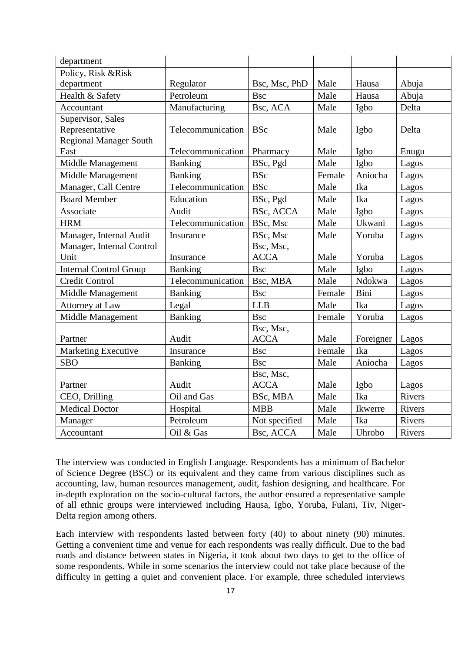| department                    |                   |               |        |           |        |
|-------------------------------|-------------------|---------------|--------|-----------|--------|
| Policy, Risk &Risk            |                   |               |        |           |        |
| department                    | Regulator         | Bsc, Msc, PhD | Male   | Hausa     | Abuja  |
| Health & Safety               | Petroleum         | <b>Bsc</b>    | Male   | Hausa     | Abuja  |
| Accountant                    | Manufacturing     | Bsc, ACA      | Male   | Igbo      | Delta  |
| Supervisor, Sales             |                   |               |        |           |        |
| Representative                | Telecommunication | <b>BSc</b>    | Male   | Igbo      | Delta  |
| <b>Regional Manager South</b> |                   |               |        |           |        |
| East                          | Telecommunication | Pharmacy      | Male   | Igbo      | Enugu  |
| Middle Management             | Banking           | BSc, Pgd      | Male   | Igbo      | Lagos  |
| Middle Management             | Banking           | <b>BSc</b>    | Female | Aniocha   | Lagos  |
| Manager, Call Centre          | Telecommunication | <b>BSc</b>    | Male   | Ika       | Lagos  |
| <b>Board Member</b>           | Education         | BSc, Pgd      | Male   | Ika       | Lagos  |
| Associate                     | Audit             | BSc, ACCA     | Male   | Igbo      | Lagos  |
| <b>HRM</b>                    | Telecommunication | BSc, Msc      | Male   | Ukwani    | Lagos  |
| Manager, Internal Audit       | Insurance         | BSc, Msc      | Male   | Yoruba    | Lagos  |
| Manager, Internal Control     |                   | Bsc, Msc,     |        |           |        |
| Unit                          | Insurance         | <b>ACCA</b>   | Male   | Yoruba    | Lagos  |
| <b>Internal Control Group</b> | <b>Banking</b>    | <b>Bsc</b>    | Male   | Igbo      | Lagos  |
| <b>Credit Control</b>         | Telecommunication | Bsc, MBA      | Male   | Ndokwa    | Lagos  |
| Middle Management             | <b>Banking</b>    | <b>Bsc</b>    | Female | Bini      | Lagos  |
| Attorney at Law               | Legal             | <b>LLB</b>    | Male   | Ika       | Lagos  |
| Middle Management             | Banking           | <b>Bsc</b>    | Female | Yoruba    | Lagos  |
|                               |                   | Bsc, Msc,     |        |           |        |
| Partner                       | Audit             | <b>ACCA</b>   | Male   | Foreigner | Lagos  |
| <b>Marketing Executive</b>    | Insurance         | <b>Bsc</b>    | Female | Ika       | Lagos  |
| <b>SBO</b>                    | Banking           | <b>Bsc</b>    | Male   | Aniocha   | Lagos  |
|                               |                   | Bsc, Msc,     |        |           |        |
| Partner                       | Audit             | <b>ACCA</b>   | Male   | Igbo      | Lagos  |
| CEO, Drilling                 | Oil and Gas       | BSc, MBA      | Male   | Ika       | Rivers |
| <b>Medical Doctor</b>         | Hospital          | <b>MBB</b>    | Male   | Ikwerre   | Rivers |
| Manager                       | Petroleum         | Not specified | Male   | Ika       | Rivers |
| Accountant                    | Oil & Gas         | Bsc, ACCA     | Male   | Uhrobo    | Rivers |

The interview was conducted in English Language. Respondents has a minimum of Bachelor of Science Degree (BSC) or its equivalent and they came from various disciplines such as accounting, law, human resources management, audit, fashion designing, and healthcare. For in-depth exploration on the socio-cultural factors, the author ensured a representative sample of all ethnic groups were interviewed including Hausa, Igbo, Yoruba, Fulani, Tiv, Niger-Delta region among others.

Each interview with respondents lasted between forty (40) to about ninety (90) minutes. Getting a convenient time and venue for each respondents was really difficult. Due to the bad roads and distance between states in Nigeria, it took about two days to get to the office of some respondents. While in some scenarios the interview could not take place because of the difficulty in getting a quiet and convenient place. For example, three scheduled interviews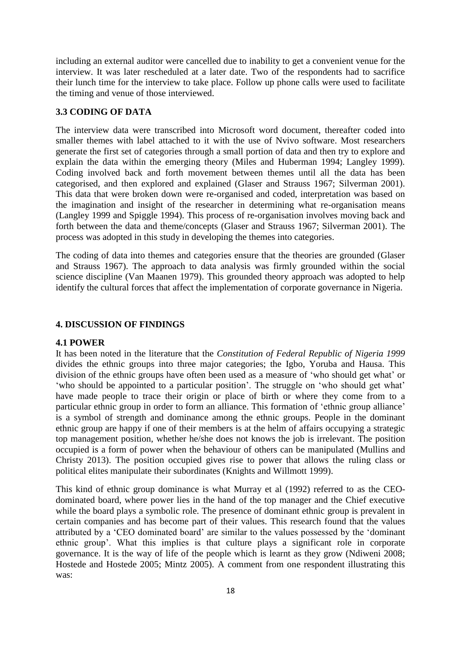including an external auditor were cancelled due to inability to get a convenient venue for the interview. It was later rescheduled at a later date. Two of the respondents had to sacrifice their lunch time for the interview to take place. Follow up phone calls were used to facilitate the timing and venue of those interviewed.

#### **3.3 CODING OF DATA**

The interview data were transcribed into Microsoft word document, thereafter coded into smaller themes with label attached to it with the use of Nvivo software. Most researchers generate the first set of categories through a small portion of data and then try to explore and explain the data within the emerging theory (Miles and Huberman 1994; Langley 1999). Coding involved back and forth movement between themes until all the data has been categorised, and then explored and explained (Glaser and Strauss 1967; Silverman 2001). This data that were broken down were re-organised and coded, interpretation was based on the imagination and insight of the researcher in determining what re-organisation means (Langley 1999 and Spiggle 1994). This process of re-organisation involves moving back and forth between the data and theme/concepts (Glaser and Strauss 1967; Silverman 2001). The process was adopted in this study in developing the themes into categories.

The coding of data into themes and categories ensure that the theories are grounded (Glaser and Strauss 1967). The approach to data analysis was firmly grounded within the social science discipline (Van Maanen 1979). This grounded theory approach was adopted to help identify the cultural forces that affect the implementation of corporate governance in Nigeria.

#### **4. DISCUSSION OF FINDINGS**

#### **4.1 POWER**

It has been noted in the literature that the *Constitution of Federal Republic of Nigeria 1999*  divides the ethnic groups into three major categories; the Igbo, Yoruba and Hausa. This division of the ethnic groups have often been used as a measure of 'who should get what' or 'who should be appointed to a particular position'. The struggle on 'who should get what' have made people to trace their origin or place of birth or where they come from to a particular ethnic group in order to form an alliance. This formation of 'ethnic group alliance' is a symbol of strength and dominance among the ethnic groups. People in the dominant ethnic group are happy if one of their members is at the helm of affairs occupying a strategic top management position, whether he/she does not knows the job is irrelevant. The position occupied is a form of power when the behaviour of others can be manipulated (Mullins and Christy 2013). The position occupied gives rise to power that allows the ruling class or political elites manipulate their subordinates (Knights and Willmott 1999).

This kind of ethnic group dominance is what Murray et al (1992) referred to as the CEOdominated board, where power lies in the hand of the top manager and the Chief executive while the board plays a symbolic role. The presence of dominant ethnic group is prevalent in certain companies and has become part of their values. This research found that the values attributed by a 'CEO dominated board' are similar to the values possessed by the 'dominant ethnic group'. What this implies is that culture plays a significant role in corporate governance. It is the way of life of the people which is learnt as they grow (Ndiweni 2008; Hostede and Hostede 2005; Mintz 2005). A comment from one respondent illustrating this was: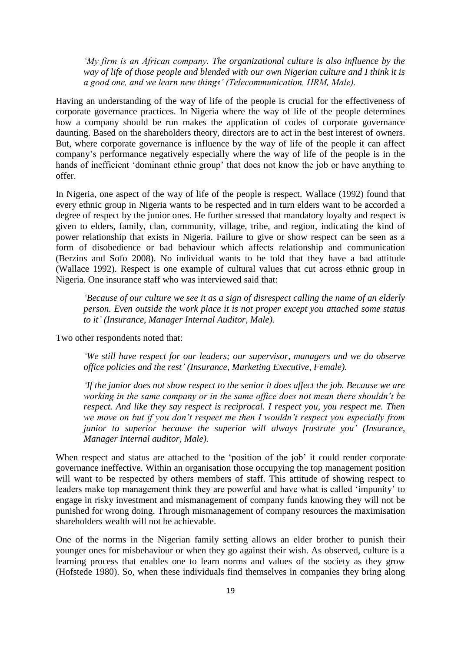*'My firm is an African company. The organizational culture is also influence by the way of life of those people and blended with our own Nigerian culture and I think it is a good one, and we learn new things' (Telecommunication, HRM, Male).*

Having an understanding of the way of life of the people is crucial for the effectiveness of corporate governance practices. In Nigeria where the way of life of the people determines how a company should be run makes the application of codes of corporate governance daunting. Based on the shareholders theory, directors are to act in the best interest of owners. But, where corporate governance is influence by the way of life of the people it can affect company's performance negatively especially where the way of life of the people is in the hands of inefficient 'dominant ethnic group' that does not know the job or have anything to offer.

In Nigeria, one aspect of the way of life of the people is respect. Wallace (1992) found that every ethnic group in Nigeria wants to be respected and in turn elders want to be accorded a degree of respect by the junior ones. He further stressed that mandatory loyalty and respect is given to elders, family, clan, community, village, tribe, and region, indicating the kind of power relationship that exists in Nigeria. Failure to give or show respect can be seen as a form of disobedience or bad behaviour which affects relationship and communication (Berzins and Sofo 2008). No individual wants to be told that they have a bad attitude (Wallace 1992). Respect is one example of cultural values that cut across ethnic group in Nigeria. One insurance staff who was interviewed said that:

*'Because of our culture we see it as a sign of disrespect calling the name of an elderly person. Even outside the work place it is not proper except you attached some status to it' (Insurance, Manager Internal Auditor, Male).*

Two other respondents noted that:

*'We still have respect for our leaders; our supervisor, managers and we do observe office policies and the rest' (Insurance, Marketing Executive, Female).*

*'If the junior does not show respect to the senior it does affect the job. Because we are working in the same company or in the same office does not mean there shouldn't be respect. And like they say respect is reciprocal. I respect you, you respect me. Then we move on but if you don't respect me then I wouldn't respect you especially from junior to superior because the superior will always frustrate you' (Insurance, Manager Internal auditor, Male).*

When respect and status are attached to the 'position of the job' it could render corporate governance ineffective. Within an organisation those occupying the top management position will want to be respected by others members of staff. This attitude of showing respect to leaders make top management think they are powerful and have what is called 'impunity' to engage in risky investment and mismanagement of company funds knowing they will not be punished for wrong doing. Through mismanagement of company resources the maximisation shareholders wealth will not be achievable.

One of the norms in the Nigerian family setting allows an elder brother to punish their younger ones for misbehaviour or when they go against their wish. As observed, culture is a learning process that enables one to learn norms and values of the society as they grow (Hofstede 1980). So, when these individuals find themselves in companies they bring along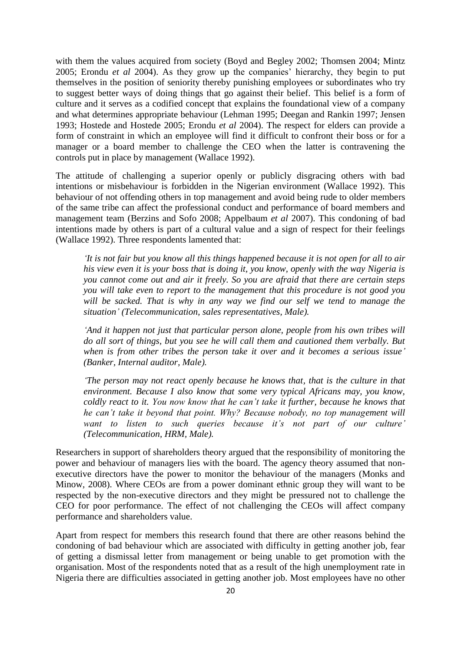with them the values acquired from society (Boyd and Begley 2002; Thomsen 2004; Mintz 2005; Erondu *et al* 2004). As they grow up the companies' hierarchy, they begin to put themselves in the position of seniority thereby punishing employees or subordinates who try to suggest better ways of doing things that go against their belief. This belief is a form of culture and it serves as a codified concept that explains the foundational view of a company and what determines appropriate behaviour (Lehman 1995; Deegan and Rankin 1997; Jensen 1993; Hostede and Hostede 2005; Erondu *et al* 2004). The respect for elders can provide a form of constraint in which an employee will find it difficult to confront their boss or for a manager or a board member to challenge the CEO when the latter is contravening the controls put in place by management (Wallace 1992).

The attitude of challenging a superior openly or publicly disgracing others with bad intentions or misbehaviour is forbidden in the Nigerian environment (Wallace 1992). This behaviour of not offending others in top management and avoid being rude to older members of the same tribe can affect the professional conduct and performance of board members and management team (Berzins and Sofo 2008; Appelbaum *et al* 2007). This condoning of bad intentions made by others is part of a cultural value and a sign of respect for their feelings (Wallace 1992). Three respondents lamented that:

*'It is not fair but you know all this things happened because it is not open for all to air his view even it is your boss that is doing it, you know, openly with the way Nigeria is you cannot come out and air it freely. So you are afraid that there are certain steps you will take even to report to the management that this procedure is not good you will be sacked. That is why in any way we find our self we tend to manage the situation' (Telecommunication, sales representatives, Male).*

*'And it happen not just that particular person alone, people from his own tribes will do all sort of things, but you see he will call them and cautioned them verbally. But when is from other tribes the person take it over and it becomes a serious issue' (Banker, Internal auditor, Male).*

*'The person may not react openly because he knows that, that is the culture in that environment. Because I also know that some very typical Africans may, you know, coldly react to it. You now know that he can't take it further, because he knows that he can't take it beyond that point. Why? Because nobody, no top management will want to listen to such queries because it's not part of our culture' (Telecommunication, HRM, Male).*

Researchers in support of shareholders theory argued that the responsibility of monitoring the power and behaviour of managers lies with the board. The agency theory assumed that nonexecutive directors have the power to monitor the behaviour of the managers (Monks and Minow, 2008). Where CEOs are from a power dominant ethnic group they will want to be respected by the non-executive directors and they might be pressured not to challenge the CEO for poor performance. The effect of not challenging the CEOs will affect company performance and shareholders value.

Apart from respect for members this research found that there are other reasons behind the condoning of bad behaviour which are associated with difficulty in getting another job, fear of getting a dismissal letter from management or being unable to get promotion with the organisation. Most of the respondents noted that as a result of the high unemployment rate in Nigeria there are difficulties associated in getting another job. Most employees have no other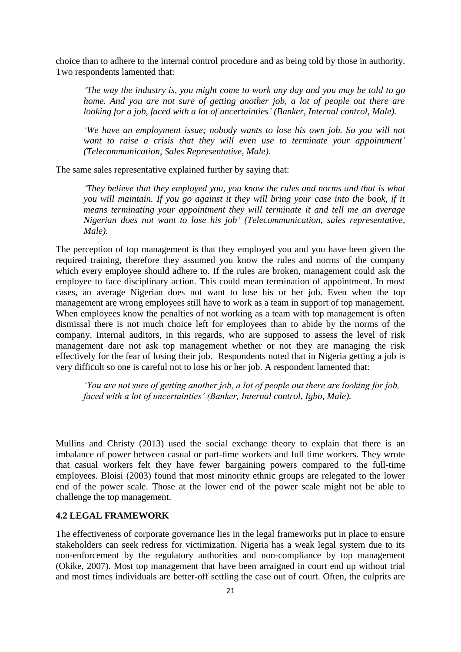choice than to adhere to the internal control procedure and as being told by those in authority. Two respondents lamented that:

*'The way the industry is, you might come to work any day and you may be told to go home. And you are not sure of getting another job, a lot of people out there are looking for a job, faced with a lot of uncertainties' (Banker, Internal control, Male).*

*'We have an employment issue; nobody wants to lose his own job. So you will not want to raise a crisis that they will even use to terminate your appointment' (Telecommunication, Sales Representative, Male).*

The same sales representative explained further by saying that:

*'They believe that they employed you, you know the rules and norms and that is what you will maintain. If you go against it they will bring your case into the book, if it means terminating your appointment they will terminate it and tell me an average Nigerian does not want to lose his job' (Telecommunication, sales representative, Male).*

The perception of top management is that they employed you and you have been given the required training, therefore they assumed you know the rules and norms of the company which every employee should adhere to. If the rules are broken, management could ask the employee to face disciplinary action. This could mean termination of appointment. In most cases, an average Nigerian does not want to lose his or her job. Even when the top management are wrong employees still have to work as a team in support of top management. When employees know the penalties of not working as a team with top management is often dismissal there is not much choice left for employees than to abide by the norms of the company. Internal auditors, in this regards, who are supposed to assess the level of risk management dare not ask top management whether or not they are managing the risk effectively for the fear of losing their job. Respondents noted that in Nigeria getting a job is very difficult so one is careful not to lose his or her job. A respondent lamented that:

*'You are not sure of getting another job, a lot of people out there are looking for job, faced with a lot of uncertainties' (Banker, Internal control, Igbo, Male).*

Mullins and Christy (2013) used the social exchange theory to explain that there is an imbalance of power between casual or part-time workers and full time workers. They wrote that casual workers felt they have fewer bargaining powers compared to the full-time employees. Bloisi (2003) found that most minority ethnic groups are relegated to the lower end of the power scale. Those at the lower end of the power scale might not be able to challenge the top management.

# **4.2 LEGAL FRAMEWORK**

The effectiveness of corporate governance lies in the legal frameworks put in place to ensure stakeholders can seek redress for victimization. Nigeria has a weak legal system due to its non-enforcement by the regulatory authorities and non-compliance by top management (Okike, 2007). Most top management that have been arraigned in court end up without trial and most times individuals are better-off settling the case out of court. Often, the culprits are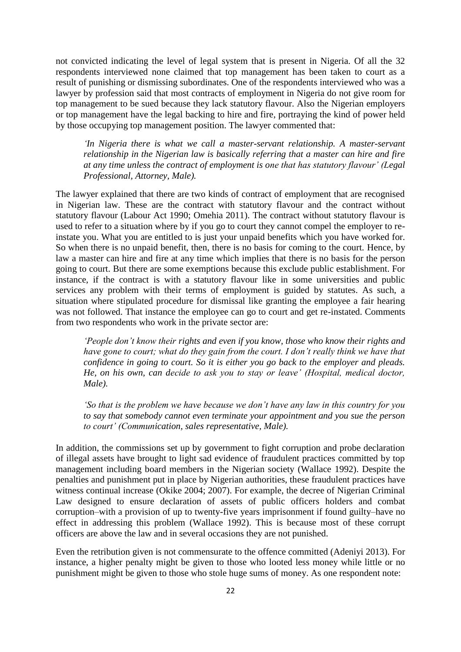not convicted indicating the level of legal system that is present in Nigeria. Of all the 32 respondents interviewed none claimed that top management has been taken to court as a result of punishing or dismissing subordinates. One of the respondents interviewed who was a lawyer by profession said that most contracts of employment in Nigeria do not give room for top management to be sued because they lack statutory flavour. Also the Nigerian employers or top management have the legal backing to hire and fire, portraying the kind of power held by those occupying top management position. The lawyer commented that:

*'In Nigeria there is what we call a master-servant relationship. A master-servant relationship in the Nigerian law is basically referring that a master can hire and fire at any time unless the contract of employment is one that has statutory flavour' (Legal Professional, Attorney, Male).*

The lawyer explained that there are two kinds of contract of employment that are recognised in Nigerian law. These are the contract with statutory flavour and the contract without statutory flavour (Labour Act 1990; Omehia 2011). The contract without statutory flavour is used to refer to a situation where by if you go to court they cannot compel the employer to reinstate you. What you are entitled to is just your unpaid benefits which you have worked for. So when there is no unpaid benefit, then, there is no basis for coming to the court. Hence, by law a master can hire and fire at any time which implies that there is no basis for the person going to court. But there are some exemptions because this exclude public establishment. For instance, if the contract is with a statutory flavour like in some universities and public services any problem with their terms of employment is guided by statutes. As such, a situation where stipulated procedure for dismissal like granting the employee a fair hearing was not followed. That instance the employee can go to court and get re-instated. Comments from two respondents who work in the private sector are:

*'People don't know their rights and even if you know, those who know their rights and have gone to court; what do they gain from the court. I don't really think we have that confidence in going to court. So it is either you go back to the employer and pleads. He, on his own, can decide to ask you to stay or leave' (Hospital, medical doctor, Male).*

*'So that is the problem we have because we don't have any law in this country for you to say that somebody cannot even terminate your appointment and you sue the person to court' (Communication, sales representative, Male).*

In addition, the commissions set up by government to fight corruption and probe declaration of illegal assets have brought to light sad evidence of fraudulent practices committed by top management including board members in the Nigerian society (Wallace 1992). Despite the penalties and punishment put in place by Nigerian authorities, these fraudulent practices have witness continual increase (Okike 2004; 2007). For example, the decree of Nigerian Criminal Law designed to ensure declaration of assets of public officers holders and combat corruption–with a provision of up to twenty-five years imprisonment if found guilty–have no effect in addressing this problem (Wallace 1992). This is because most of these corrupt officers are above the law and in several occasions they are not punished.

Even the retribution given is not commensurate to the offence committed (Adeniyi 2013). For instance, a higher penalty might be given to those who looted less money while little or no punishment might be given to those who stole huge sums of money. As one respondent note: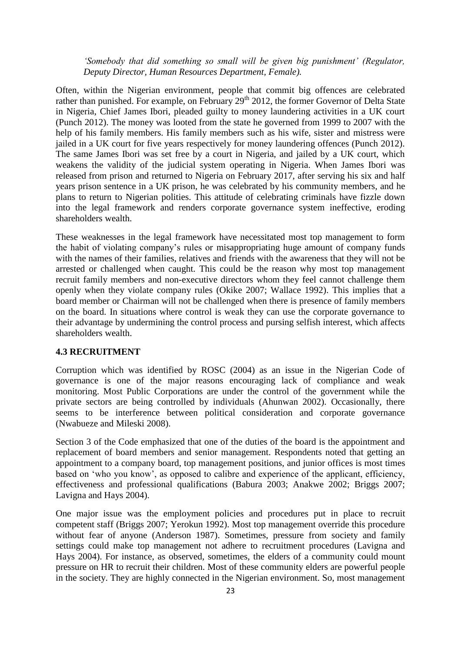*'Somebody that did something so small will be given big punishment' (Regulator, Deputy Director, Human Resources Department, Female).*

Often, within the Nigerian environment, people that commit big offences are celebrated rather than punished. For example, on February 29<sup>th</sup> 2012, the former Governor of Delta State in Nigeria, Chief James Ibori, pleaded guilty to money laundering activities in a UK court (Punch 2012). The money was looted from the state he governed from 1999 to 2007 with the help of his family members. His family members such as his wife, sister and mistress were jailed in a UK court for five years respectively for money laundering offences (Punch 2012). The same James Ibori was set free by a court in Nigeria, and jailed by a UK court, which weakens the validity of the judicial system operating in Nigeria. When James Ibori was released from prison and returned to Nigeria on February 2017, after serving his six and half years prison sentence in a UK prison, he was celebrated by his community members, and he plans to return to Nigerian polities. This attitude of celebrating criminals have fizzle down into the legal framework and renders corporate governance system ineffective, eroding shareholders wealth.

These weaknesses in the legal framework have necessitated most top management to form the habit of violating company's rules or misappropriating huge amount of company funds with the names of their families, relatives and friends with the awareness that they will not be arrested or challenged when caught. This could be the reason why most top management recruit family members and non-executive directors whom they feel cannot challenge them openly when they violate company rules (Okike 2007; Wallace 1992). This implies that a board member or Chairman will not be challenged when there is presence of family members on the board. In situations where control is weak they can use the corporate governance to their advantage by undermining the control process and pursing selfish interest, which affects shareholders wealth.

#### **4.3 RECRUITMENT**

Corruption which was identified by ROSC (2004) as an issue in the Nigerian Code of governance is one of the major reasons encouraging lack of compliance and weak monitoring. Most Public Corporations are under the control of the government while the private sectors are being controlled by individuals (Ahunwan 2002). Occasionally, there seems to be interference between political consideration and corporate governance (Nwabueze and Mileski 2008).

Section 3 of the Code emphasized that one of the duties of the board is the appointment and replacement of board members and senior management. Respondents noted that getting an appointment to a company board, top management positions, and junior offices is most times based on 'who you know', as opposed to calibre and experience of the applicant, efficiency, effectiveness and professional qualifications (Babura 2003; Anakwe 2002; Briggs 2007; Lavigna and Hays 2004).

One major issue was the employment policies and procedures put in place to recruit competent staff (Briggs 2007; Yerokun 1992). Most top management override this procedure without fear of anyone (Anderson 1987). Sometimes, pressure from society and family settings could make top management not adhere to recruitment procedures (Lavigna and Hays 2004). For instance, as observed, sometimes, the elders of a community could mount pressure on HR to recruit their children. Most of these community elders are powerful people in the society. They are highly connected in the Nigerian environment. So, most management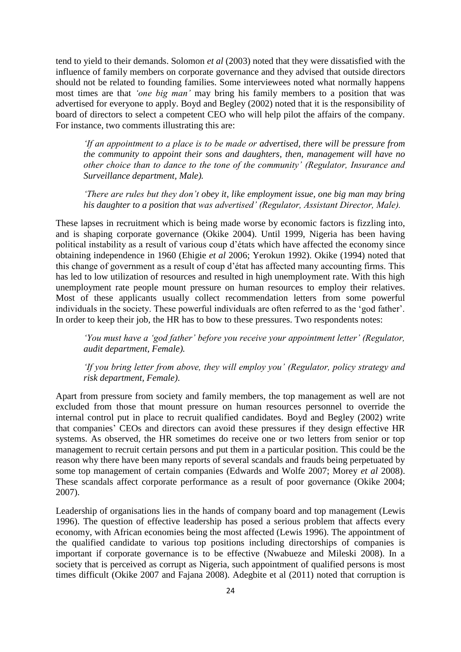tend to yield to their demands. Solomon *et al* (2003) noted that they were dissatisfied with the influence of family members on corporate governance and they advised that outside directors should not be related to founding families. Some interviewees noted what normally happens most times are that *'one big man'* may bring his family members to a position that was advertised for everyone to apply. Boyd and Begley (2002) noted that it is the responsibility of board of directors to select a competent CEO who will help pilot the affairs of the company. For instance, two comments illustrating this are:

*'If an appointment to a place is to be made or advertised, there will be pressure from the community to appoint their sons and daughters, then, management will have no other choice than to dance to the tone of the community' (Regulator, Insurance and Surveillance department, Male).*

*'There are rules but they don't obey it, like employment issue, one big man may bring his daughter to a position that was advertised' (Regulator, Assistant Director, Male).*

These lapses in recruitment which is being made worse by economic factors is fizzling into, and is shaping corporate governance (Okike 2004). Until 1999, Nigeria has been having political instability as a result of various coup d'états which have affected the economy since obtaining independence in 1960 (Ehigie *et al* 2006; Yerokun 1992). Okike (1994) noted that this change of government as a result of coup d'état has affected many accounting firms. This has led to low utilization of resources and resulted in high unemployment rate. With this high unemployment rate people mount pressure on human resources to employ their relatives. Most of these applicants usually collect recommendation letters from some powerful individuals in the society. These powerful individuals are often referred to as the 'god father'. In order to keep their job, the HR has to bow to these pressures. Two respondents notes:

*'You must have a 'god father' before you receive your appointment letter' (Regulator, audit department, Female).*

*'If you bring letter from above, they will employ you' (Regulator, policy strategy and risk department, Female).*

Apart from pressure from society and family members, the top management as well are not excluded from those that mount pressure on human resources personnel to override the internal control put in place to recruit qualified candidates. Boyd and Begley (2002) write that companies' CEOs and directors can avoid these pressures if they design effective HR systems. As observed, the HR sometimes do receive one or two letters from senior or top management to recruit certain persons and put them in a particular position. This could be the reason why there have been many reports of several scandals and frauds being perpetuated by some top management of certain companies (Edwards and Wolfe 2007; Morey *et al* 2008). These scandals affect corporate performance as a result of poor governance (Okike 2004; 2007).

Leadership of organisations lies in the hands of company board and top management (Lewis 1996). The question of effective leadership has posed a serious problem that affects every economy, with African economies being the most affected (Lewis 1996). The appointment of the qualified candidate to various top positions including directorships of companies is important if corporate governance is to be effective (Nwabueze and Mileski 2008). In a society that is perceived as corrupt as Nigeria, such appointment of qualified persons is most times difficult (Okike 2007 and Fajana 2008). Adegbite et al (2011) noted that corruption is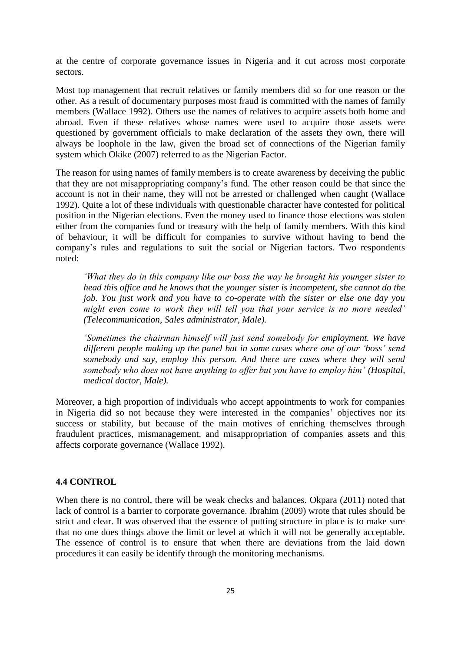at the centre of corporate governance issues in Nigeria and it cut across most corporate sectors.

Most top management that recruit relatives or family members did so for one reason or the other. As a result of documentary purposes most fraud is committed with the names of family members (Wallace 1992). Others use the names of relatives to acquire assets both home and abroad. Even if these relatives whose names were used to acquire those assets were questioned by government officials to make declaration of the assets they own, there will always be loophole in the law, given the broad set of connections of the Nigerian family system which Okike (2007) referred to as the Nigerian Factor.

The reason for using names of family members is to create awareness by deceiving the public that they are not misappropriating company's fund. The other reason could be that since the account is not in their name, they will not be arrested or challenged when caught (Wallace 1992). Quite a lot of these individuals with questionable character have contested for political position in the Nigerian elections. Even the money used to finance those elections was stolen either from the companies fund or treasury with the help of family members. With this kind of behaviour, it will be difficult for companies to survive without having to bend the company's rules and regulations to suit the social or Nigerian factors. Two respondents noted:

*'What they do in this company like our boss the way he brought his younger sister to head this office and he knows that the younger sister is incompetent, she cannot do the job. You just work and you have to co-operate with the sister or else one day you might even come to work they will tell you that your service is no more needed' (Telecommunication, Sales administrator, Male).*

*'Sometimes the chairman himself will just send somebody for employment. We have different people making up the panel but in some cases where one of our 'boss' send somebody and say, employ this person. And there are cases where they will send somebody who does not have anything to offer but you have to employ him' (Hospital, medical doctor, Male).*

Moreover, a high proportion of individuals who accept appointments to work for companies in Nigeria did so not because they were interested in the companies' objectives nor its success or stability, but because of the main motives of enriching themselves through fraudulent practices, mismanagement, and misappropriation of companies assets and this affects corporate governance (Wallace 1992).

## **4.4 CONTROL**

When there is no control, there will be weak checks and balances. Okpara (2011) noted that lack of control is a barrier to corporate governance. Ibrahim (2009) wrote that rules should be strict and clear. It was observed that the essence of putting structure in place is to make sure that no one does things above the limit or level at which it will not be generally acceptable. The essence of control is to ensure that when there are deviations from the laid down procedures it can easily be identify through the monitoring mechanisms.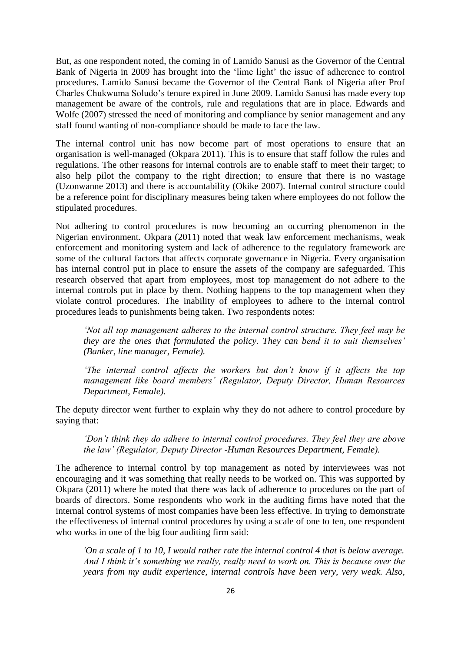But, as one respondent noted, the coming in of Lamido Sanusi as the Governor of the Central Bank of Nigeria in 2009 has brought into the 'lime light' the issue of adherence to control procedures. Lamido Sanusi became the Governor of the Central Bank of Nigeria after Prof Charles Chukwuma Soludo's tenure expired in June 2009. Lamido Sanusi has made every top management be aware of the controls, rule and regulations that are in place. Edwards and Wolfe (2007) stressed the need of monitoring and compliance by senior management and any staff found wanting of non-compliance should be made to face the law.

The internal control unit has now become part of most operations to ensure that an organisation is well-managed (Okpara 2011). This is to ensure that staff follow the rules and regulations. The other reasons for internal controls are to enable staff to meet their target; to also help pilot the company to the right direction; to ensure that there is no wastage (Uzonwanne 2013) and there is accountability (Okike 2007). Internal control structure could be a reference point for disciplinary measures being taken where employees do not follow the stipulated procedures.

Not adhering to control procedures is now becoming an occurring phenomenon in the Nigerian environment. Okpara (2011) noted that weak law enforcement mechanisms, weak enforcement and monitoring system and lack of adherence to the regulatory framework are some of the cultural factors that affects corporate governance in Nigeria. Every organisation has internal control put in place to ensure the assets of the company are safeguarded. This research observed that apart from employees, most top management do not adhere to the internal controls put in place by them. Nothing happens to the top management when they violate control procedures. The inability of employees to adhere to the internal control procedures leads to punishments being taken. Two respondents notes:

*'Not all top management adheres to the internal control structure. They feel may be they are the ones that formulated the policy. They can bend it to suit themselves' (Banker, line manager, Female).*

*'The internal control affects the workers but don't know if it affects the top management like board members' (Regulator, Deputy Director, Human Resources Department, Female).*

The deputy director went further to explain why they do not adhere to control procedure by saying that:

*'Don't think they do adhere to internal control procedures. They feel they are above the law' (Regulator, Deputy Director -Human Resources Department, Female).*

The adherence to internal control by top management as noted by interviewees was not encouraging and it was something that really needs to be worked on. This was supported by Okpara (2011) where he noted that there was lack of adherence to procedures on the part of boards of directors. Some respondents who work in the auditing firms have noted that the internal control systems of most companies have been less effective. In trying to demonstrate the effectiveness of internal control procedures by using a scale of one to ten, one respondent who works in one of the big four auditing firm said:

*'On a scale of 1 to 10, I would rather rate the internal control 4 that is below average. And I think it's something we really, really need to work on. This is because over the years from my audit experience, internal controls have been very, very weak. Also,*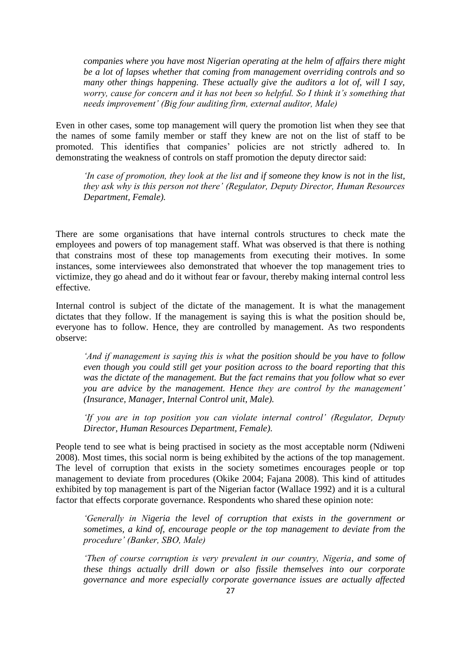*companies where you have most Nigerian operating at the helm of affairs there might be a lot of lapses whether that coming from management overriding controls and so many other things happening. These actually give the auditors a lot of, will I say, worry, cause for concern and it has not been so helpful. So I think it's something that needs improvement' (Big four auditing firm, external auditor, Male)*

Even in other cases, some top management will query the promotion list when they see that the names of some family member or staff they knew are not on the list of staff to be promoted. This identifies that companies' policies are not strictly adhered to. In demonstrating the weakness of controls on staff promotion the deputy director said:

*'In case of promotion, they look at the list and if someone they know is not in the list, they ask why is this person not there' (Regulator, Deputy Director, Human Resources Department, Female).*

There are some organisations that have internal controls structures to check mate the employees and powers of top management staff. What was observed is that there is nothing that constrains most of these top managements from executing their motives. In some instances, some interviewees also demonstrated that whoever the top management tries to victimize, they go ahead and do it without fear or favour, thereby making internal control less effective.

Internal control is subject of the dictate of the management. It is what the management dictates that they follow. If the management is saying this is what the position should be, everyone has to follow. Hence, they are controlled by management. As two respondents observe:

*'And if management is saying this is what the position should be you have to follow even though you could still get your position across to the board reporting that this was the dictate of the management. But the fact remains that you follow what so ever you are advice by the management. Hence they are control by the management' (Insurance, Manager, Internal Control unit, Male).*

*'If you are in top position you can violate internal control' (Regulator, Deputy Director, Human Resources Department, Female).*

People tend to see what is being practised in society as the most acceptable norm (Ndiweni 2008). Most times, this social norm is being exhibited by the actions of the top management. The level of corruption that exists in the society sometimes encourages people or top management to deviate from procedures (Okike 2004; Fajana 2008). This kind of attitudes exhibited by top management is part of the Nigerian factor (Wallace 1992) and it is a cultural factor that effects corporate governance. Respondents who shared these opinion note:

*'Generally in Nigeria the level of corruption that exists in the government or sometimes, a kind of, encourage people or the top management to deviate from the procedure' (Banker, SBO, Male)*

*'Then of course corruption is very prevalent in our country, Nigeria, and some of these things actually drill down or also fissile themselves into our corporate governance and more especially corporate governance issues are actually affected*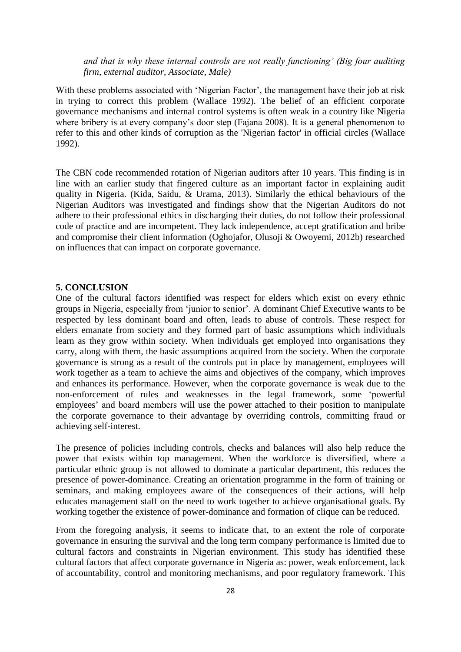*and that is why these internal controls are not really functioning' (Big four auditing firm, external auditor, Associate, Male)*

With these problems associated with 'Nigerian Factor', the management have their job at risk in trying to correct this problem (Wallace 1992). The belief of an efficient corporate governance mechanisms and internal control systems is often weak in a country like Nigeria where bribery is at every company's door step (Fajana 2008). It is a general phenomenon to refer to this and other kinds of corruption as the 'Nigerian factor' in official circles (Wallace 1992).

The CBN code recommended rotation of Nigerian auditors after 10 years. This finding is in line with an earlier study that fingered culture as an important factor in explaining audit quality in Nigeria. (Kida, Saidu, & Urama, 2013). Similarly the ethical behaviours of the Nigerian Auditors was investigated and findings show that the Nigerian Auditors do not adhere to their professional ethics in discharging their duties, do not follow their professional code of practice and are incompetent. They lack independence, accept gratification and bribe and compromise their client information (Oghojafor, Olusoji & Owoyemi, 2012b) researched on influences that can impact on corporate governance.

#### **5. CONCLUSION**

One of the cultural factors identified was respect for elders which exist on every ethnic groups in Nigeria, especially from 'junior to senior'. A dominant Chief Executive wants to be respected by less dominant board and often, leads to abuse of controls. These respect for elders emanate from society and they formed part of basic assumptions which individuals learn as they grow within society. When individuals get employed into organisations they carry, along with them, the basic assumptions acquired from the society. When the corporate governance is strong as a result of the controls put in place by management, employees will work together as a team to achieve the aims and objectives of the company, which improves and enhances its performance. However, when the corporate governance is weak due to the non-enforcement of rules and weaknesses in the legal framework, some 'powerful employees' and board members will use the power attached to their position to manipulate the corporate governance to their advantage by overriding controls, committing fraud or achieving self-interest.

The presence of policies including controls, checks and balances will also help reduce the power that exists within top management. When the workforce is diversified, where a particular ethnic group is not allowed to dominate a particular department, this reduces the presence of power-dominance. Creating an orientation programme in the form of training or seminars, and making employees aware of the consequences of their actions, will help educates management staff on the need to work together to achieve organisational goals. By working together the existence of power-dominance and formation of clique can be reduced.

From the foregoing analysis, it seems to indicate that, to an extent the role of corporate governance in ensuring the survival and the long term company performance is limited due to cultural factors and constraints in Nigerian environment. This study has identified these cultural factors that affect corporate governance in Nigeria as: power, weak enforcement, lack of accountability, control and monitoring mechanisms, and poor regulatory framework. This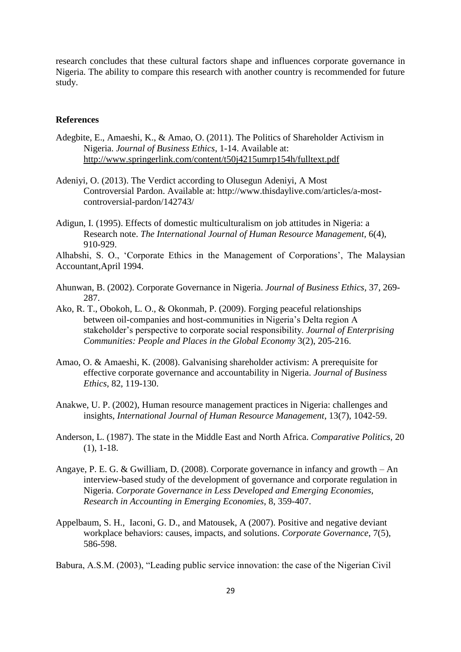research concludes that these cultural factors shape and influences corporate governance in Nigeria. The ability to compare this research with another country is recommended for future study.

#### **References**

- Adegbite, E., Amaeshi, K., & Amao, O. (2011). The Politics of Shareholder Activism in Nigeria. *Journal of Business Ethics*, 1-14. Available at: <http://www.springerlink.com/content/t50j4215umrp154h/fulltext.pdf>
- Adeniyi, O. (2013). The Verdict according to Olusegun Adeniyi, A Most Controversial Pardon. Available at: [http://www.thisdaylive.com/articles/a-most](ttp://www.thisdaylive.com/articles/a-most-controversial-p)[controversial-pa](ttp://www.thisdaylive.com/articles/a-most-controversial-p)rdon/142743/
- Adigun, I. (1995). Effects of domestic multiculturalism on job attitudes in Nigeria: a Research note. *The International Journal of Human Resource Management,* 6(4), 910-929.

Alhabshi, S. O., 'Corporate Ethics in the Management of Corporations', The Malaysian Accountant,April 1994.

- Ahunwan, B. (2002). Corporate Governance in Nigeria. *Journal of Business Ethics*, 37, 269- 287.
- Ako, R. T., Obokoh, L. O., & Okonmah, P. (2009). Forging peaceful relationships between oil-companies and host-communities in Nigeria's Delta region A stakeholder's perspective to corporate social responsibility. *Journal of Enterprising Communities: People and Places in the Global Economy* 3(2), 205-216.
- Amao, O. & Amaeshi, K. (2008). Galvanising shareholder activism: A prerequisite for effective corporate governance and accountability in Nigeria. *Journal of Business Ethics*, 82, 119-130.
- Anakwe, U. P. (2002), Human resource management practices in Nigeria: challenges and insights, *International Journal of Human Resource Management*, 13(7), 1042-59.
- Anderson, L. (1987). The state in the Middle East and North Africa. *Comparative Politics,* 20 (1), 1-18.
- Angaye, P. E. G. & Gwilliam, D. (2008). Corporate governance in infancy and growth An interview-based study of the development of governance and corporate regulation in Nigeria. *Corporate Governance in Less Developed and Emerging Economies, Research in Accounting in Emerging Economies*, 8, 359-407.
- Appelbaum, S. H., Iaconi, G. D., and Matousek, A (2007). Positive and negative deviant workplace behaviors: causes, impacts, and solutions. *Corporate Governance*, 7(5), 586-598.
- Babura, A.S.M. (2003), "Leading public service innovation: the case of the Nigerian Civil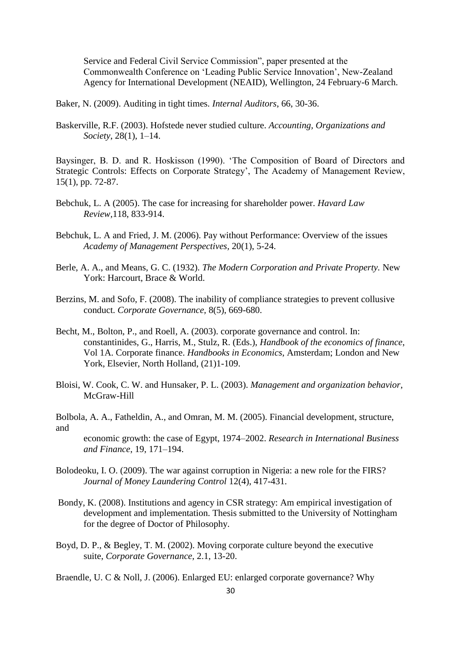Service and Federal Civil Service Commission", paper presented at the Commonwealth Conference on 'Leading Public Service Innovation', New-Zealand Agency for International Development (NEAID), Wellington, 24 February-6 March.

Baker, N. (2009). Auditing in tight times. *Internal Auditors*, 66, 30-36.

Baskerville, R.F. (2003). Hofstede never studied culture. *Accounting, Organizations and Society*, 28(1), 1–14.

Baysinger, B. D. and R. Hoskisson (1990). 'The Composition of Board of Directors and Strategic Controls: Effects on Corporate Strategy', The Academy of Management Review, 15(1), pp. 72-87.

- Bebchuk, L. A (2005). The case for increasing for shareholder power. *Havard Law Review,*118, 833-914.
- Bebchuk, L. A and Fried, J. M. (2006). Pay without Performance: Overview of the issues *Academy of Management Perspectives,* 20(1), 5-24.
- Berle, A. A., and Means, G. C. (1932). *The Modern Corporation and Private Property.* New York: Harcourt, Brace & World.
- Berzins, M. and Sofo, F. (2008). The inability of compliance strategies to prevent collusive conduct. *Corporate Governance,* 8(5), 669-680.
- Becht, M., Bolton, P., and Roell*,* A. (2003). corporate governance and control. In: constantinides, G., Harris, M., Stulz, R. (Eds.), *Handbook of the economics of finance*, Vol 1A. Corporate finance. *Handbooks in Economics*, Amsterdam; London and New York, Elsevier, North Holland, (21)1-109.
- Bloisi, W. Cook, C. W. and Hunsaker, P. L. (2003). *Management and organization behavior*, McGraw-Hill
- Bolbola, A. A., Fatheldin, A., and Omran, M. M. (2005). Financial development, structure, and

economic growth: the case of Egypt, 1974–2002. *Research in International Business and Finance*, 19, 171–194.

- Bolodeoku, I. O. (2009). The war against corruption in Nigeria: a new role for the FIRS? *Journal of Money Laundering Control* 12(4), 417-431.
- Bondy, K. (2008). Institutions and agency in CSR strategy: Am empirical investigation of development and implementation. Thesis submitted to the University of Nottingham for the degree of Doctor of Philosophy.
- Boyd, D. P., & Begley, T. M. (2002). Moving corporate culture beyond the executive suite, *Corporate Governance*, 2.1, 13-20.

Braendle, U. C & Noll, J. (2006). Enlarged EU: enlarged corporate governance? Why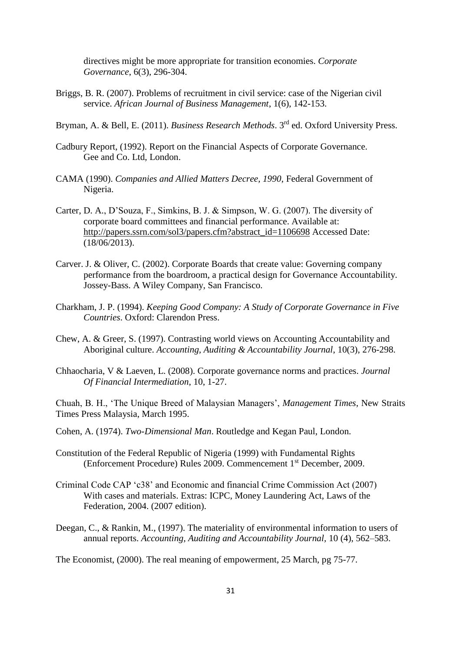directives might be more appropriate for transition economies. *Corporate Governance*, 6(3), 296-304.

- Briggs, B. R. (2007). Problems of recruitment in civil service: case of the Nigerian civil service. *African Journal of Business Management*, 1(6), 142-153.
- Bryman, A. & Bell, E. (2011). *Business Research Methods*. 3rd ed. Oxford University Press.
- Cadbury Report, (1992). Report on the Financial Aspects of Corporate Governance. Gee and Co. Ltd, London.
- CAMA (1990). *Companies and Allied Matters Decree, 1990*, Federal Government of Nigeria.
- Carter, D. A., D'Souza, F., Simkins, B. J. & Simpson, W. G. (2007). The diversity of corporate board committees and financial performance. Available at: [http://papers.ssrn.com/sol3/papers.cfm?abstract\\_id=1106698](http://papers.ssrn.com/sol3/papers.cfm?abstract_id=1106698) Accessed Date: (18/06/2013).
- Carver. J. & Oliver, C. (2002). Corporate Boards that create value: Governing company performance from the boardroom, a practical design for Governance Accountability. Jossey-Bass. A Wiley Company, San Francisco.
- Charkham, J. P. (1994). *Keeping Good Company: A Study of Corporate Governance in Five Countries*. Oxford: Clarendon Press.
- Chew, A. & Greer, S. (1997). Contrasting world views on Accounting Accountability and Aboriginal culture. *Accounting, Auditing & Accountability Journal*, 10(3), 276-298.
- Chhaocharia, V & Laeven, L. (2008). Corporate governance norms and practices. *Journal Of Financial Intermediation*, 10, 1-27.

Chuah, B. H., 'The Unique Breed of Malaysian Managers', *Management Times*, New Straits Times Press Malaysia, March 1995.

- Cohen, A. (1974). *Two-Dimensional Man*. Routledge and Kegan Paul, London.
- Constitution of the Federal Republic of Nigeria (1999) with Fundamental Rights (Enforcement Procedure) Rules 2009. Commencement 1st December, 2009.
- Criminal Code CAP 'c38' and Economic and financial Crime Commission Act (2007) With cases and materials. Extras: ICPC, Money Laundering Act, Laws of the Federation, 2004. (2007 edition).
- Deegan, C., & Rankin, M., (1997). The materiality of environmental information to users of annual reports. *Accounting, Auditing and Accountability Journal,* 10 (4), 562–583.

The Economist, (2000). The real meaning of empowerment, 25 March, pg 75-77.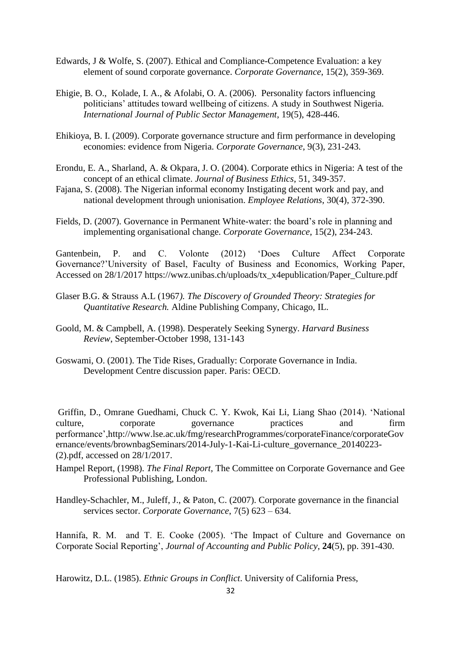- Edwards, J & Wolfe, S. (2007). Ethical and Compliance-Competence Evaluation: a key element of sound corporate governance. *Corporate Governance*, 15(2), 359-369.
- Ehigie, B. O., Kolade, I. A., & Afolabi, O. A. (2006). Personality factors influencing politicians' attitudes toward wellbeing of citizens. A study in Southwest Nigeria. *International Journal of Public Sector Management*, 19(5), 428-446.
- Ehikioya, B. I. (2009). Corporate governance structure and firm performance in developing economies: evidence from Nigeria. *Corporate Governance*, 9(3), 231-243.
- Erondu, E. A., Sharland, A. & Okpara, J. O. (2004). Corporate ethics in Nigeria: A test of the concept of an ethical climate. *Journal of Business Ethics*, 51, 349-357.
- Fajana, S. (2008). The Nigerian informal economy Instigating decent work and pay, and national development through unionisation. *Employee Relations*, 30(4), 372-390.
- Fields, D. (2007). Governance in Permanent White-water: the board's role in planning and implementing organisational change. *Corporate Governance*, 15(2), 234-243.

Gantenbein, P. and C. Volonte (2012) 'Does Culture Affect Corporate Governance?'University of Basel, Faculty of Business and Economics, Working Paper, Accessed on 28/1/2017 https://wwz.unibas.ch/uploads/tx\_x4epublication/Paper\_Culture.pdf

- Glaser B.G. & Strauss A.L (1967*). The Discovery of Grounded Theory: Strategies for Quantitative Research.* Aldine Publishing Company, Chicago, IL.
- Goold, M. & Campbell, A. (1998). Desperately Seeking Synergy. *Harvard Business Review*, September-October 1998, 131-143
- Goswami, O. (2001). The Tide Rises, Gradually: Corporate Governance in India. Development Centre discussion paper. Paris: OECD.

[Griffin,](https://www.scienceopen.com/search#author/d142befb-d4aa-4f18-8957-6be652485db5) D., [Omrane Guedhami,](https://www.scienceopen.com/search#author/ed0b18fd-41e7-436f-9578-7216c73a8b87) [Chuck C. Y. Kwok,](https://www.scienceopen.com/search#author/e0f871e5-2a9d-44d1-b5f3-ba16bc2692fb) [Kai Li,](https://www.scienceopen.com/search#author/5bbcce2d-0852-4b92-addc-6bc2d858a28a) [Liang Shao](https://www.scienceopen.com/search#author/24e35adf-ad23-45fd-a2b8-dd12ea3a0166) (2014). 'National culture, corporate governance practices and firm performance',http://www.lse.ac.uk/fmg/researchProgrammes/corporateFinance/corporateGov ernance/events/brownbagSeminars/2014-July-1-Kai-Li-culture\_governance\_20140223- (2).pdf, accessed on 28/1/2017.

- Hampel Report, (1998). *The Final Report*, The Committee on Corporate Governance and Gee Professional Publishing, London.
- Handley-Schachler, M., Juleff, J., & Paton, C. (2007). Corporate governance in the financial services sector. *Corporate Governance*, 7(5) 623 – 634.

Hannifa, R. M. and T. E. Cooke (2005). 'The Impact of Culture and Governance on Corporate Social Reporting', *Journal of Accounting and Public Policy*, **24**(5), pp. 391-430.

Harowitz, D.L. (1985). *Ethnic Groups in Conflict*. University of California Press,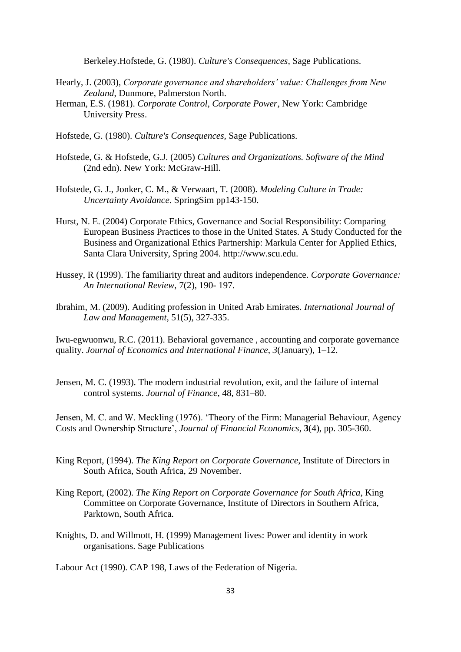Berkeley.Hofstede, G. (1980). *Culture's Consequences,* Sage Publications.

- Hearly, J. (2003), *Corporate governance and shareholders' value: Challenges from New Zealand*, Dunmore, Palmerston North.
- Herman, E.S. (1981). *Corporate Control, Corporate Power*, New York: Cambridge University Press.
- Hofstede, G. (1980). *Culture's Consequences,* Sage Publications.
- Hofstede, G. & Hofstede, G.J. (2005) *Cultures and Organizations. Software of the Mind* (2nd edn). New York: McGraw-Hill.
- Hofstede, G. J., Jonker, C. M., & Verwaart, T. (2008). *Modeling Culture in Trade: Uncertainty Avoidance*. SpringSim pp143-150.
- Hurst, N. E. (2004) Corporate Ethics, Governance and Social Responsibility: Comparing European Business Practices to those in the United States. A Study Conducted for the Business and Organizational Ethics Partnership: Markula Center for Applied Ethics, Santa Clara University, Spring 2004. http://www.scu.edu.
- Hussey, R (1999). The familiarity threat and auditors independence. *Corporate Governance: An International Review,* 7(2), 190- 197.
- Ibrahim, M. (2009). Auditing profession in United Arab Emirates. *International Journal of Law and Management*, 51(5), 327-335.

Iwu-egwuonwu, R.C. (2011). Behavioral governance , accounting and corporate governance quality. *Journal of Economics and International Finance*, *3*(January), 1–12.

Jensen, M. C. (1993). The modern industrial revolution, exit, and the failure of internal control systems. *Journal of Finance*, 48, 831–80.

Jensen, M. C. and W. Meckling (1976). 'Theory of the Firm: Managerial Behaviour, Agency Costs and Ownership Structure', *Journal of Financial Economics*, **3**(4), pp. 305-360.

- King Report, (1994). *The King Report on Corporate Governance*, Institute of Directors in South Africa, South Africa, 29 November.
- King Report, (2002). *The King Report on Corporate Governance for South Africa*, King Committee on Corporate Governance, Institute of Directors in Southern Africa, Parktown, South Africa.
- Knights, D. and Willmott, H. (1999) Management lives: Power and identity in work organisations. Sage Publications

Labour Act (1990). CAP 198, Laws of the Federation of Nigeria.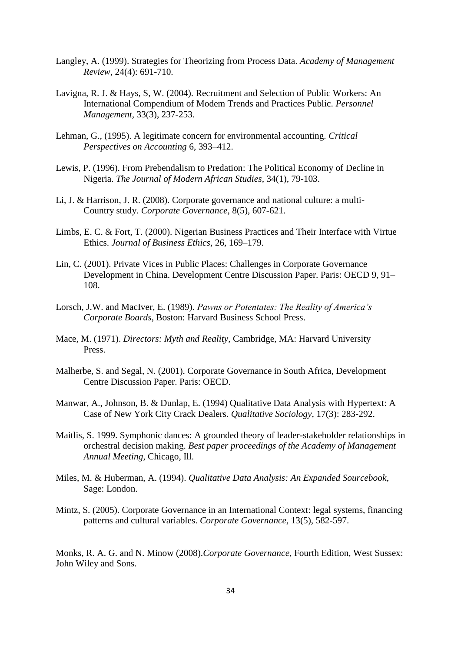- Langley, A. (1999). Strategies for Theorizing from Process Data. *Academy of Management Review*, 24(4): 691-710.
- Lavigna, R. J. & Hays, S, W. (2004). Recruitment and Selection of Public Workers: An International Compendium of Modem Trends and Practices Public. *Personnel Management,* 33(3), 237-253.
- Lehman, G., (1995). A legitimate concern for environmental accounting. *Critical Perspectives on Accounting* 6, 393–412.
- Lewis, P. (1996). From Prebendalism to Predation: The Political Economy of Decline in Nigeria. *The Journal of Modern African Studies*, 34(1), 79-103.
- Li, J. & Harrison, J. R. (2008). Corporate governance and national culture: a multi-Country study. *Corporate Governance*, 8(5), 607-621.
- Limbs, E. C. & Fort, T. (2000). Nigerian Business Practices and Their Interface with Virtue Ethics. *Journal of Business Ethics*, 26, 169–179.
- Lin, C. (2001). Private Vices in Public Places: Challenges in Corporate Governance Development in China. Development Centre Discussion Paper. Paris: OECD 9, 91– 108.
- Lorsch, J.W. and MacIver, E. (1989). *Pawns or Potentates: The Reality of America's Corporate Boards*, Boston: Harvard Business School Press.
- Mace, M. (1971). *Directors: Myth and Reality*, Cambridge, MA: Harvard University Press.
- Malherbe, S. and Segal, N. (2001). Corporate Governance in South Africa, Development Centre Discussion Paper. Paris: OECD.
- Manwar, A., Johnson, B. & Dunlap, E. (1994) Qualitative Data Analysis with Hypertext: A Case of New York City Crack Dealers. *Qualitative Sociology*, 17(3): 283-292.
- Maitlis, S. 1999. Symphonic dances: A grounded theory of leader-stakeholder relationships in orchestral decision making. *Best paper proceedings of the Academy of Management Annual Meeting*, Chicago, Ill.
- Miles, M. & Huberman, A. (1994). *Qualitative Data Analysis: An Expanded Sourcebook*, Sage: London.
- Mintz, S. (2005). Corporate Governance in an International Context: legal systems, financing patterns and cultural variables. *Corporate Governance,* 13(5), 582-597.

Monks, R. A. G. and N. Minow (2008).*Corporate Governance*, Fourth Edition, West Sussex: John Wiley and Sons.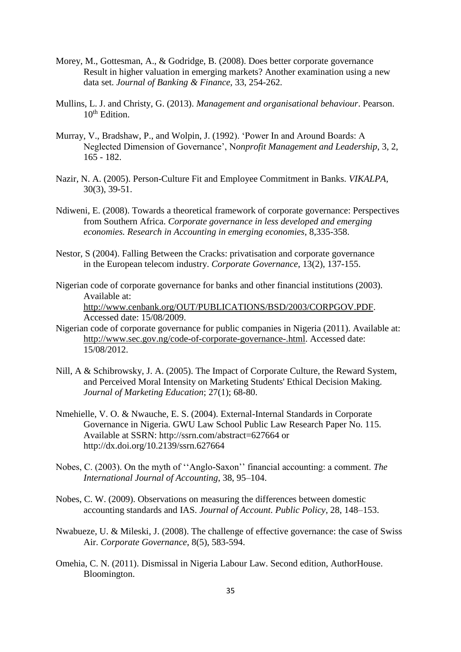- Morey, M., Gottesman, A., & Godridge, B. (2008). Does better corporate governance Result in higher valuation in emerging markets? Another examination using a new data set. *Journal of Banking & Finance,* 33, 254-262.
- Mullins, L. J. and Christy, G. (2013). *Management and organisational behaviour*. Pearson.  $10^{th}$  Edition.
- Murray, V., Bradshaw, P., and Wolpin, J. (1992). 'Power In and Around Boards: A Neglected Dimension of Governance', N*onprofit Management and Leadership*, 3, 2, 165 - 182.
- Nazir, N. A. (2005). Person-Culture Fit and Employee Commitment in Banks. *VIKALPA,*  30(3), 39-51.
- Ndiweni, E. (2008). Towards a theoretical framework of corporate governance: Perspectives from Southern Africa. *Corporate governance in less developed and emerging economies. Research in Accounting in emerging economies*, 8,335-358.
- Nestor, S (2004). Falling Between the Cracks: privatisation and corporate governance in the European telecom industry. *Corporate Governance*, 13(2), 137-155.
- Nigerian code of corporate governance for banks and other financial institutions (2003). Available at: [http://www.cenbank.org/OUT/PUBLICATIONS/BSD/2003/CORPGOV.PDF.](http://www.cenbank.org/OUT/PUBLICATIONS/BSD/2003/CORPGOV.PDF) Accessed date: 15/08/2009.
- Nigerian code of corporate governance for public companies in Nigeria (2011). Available at: [http://www.sec.gov.ng/code-of-corporate-governance-.html.](http://www.sec.gov.ng/code-of-corporate-governance-.html) Accessed date: 15/08/2012.
- Nill, A & Schibrowsky, J. A. (2005). The Impact of Corporate Culture, the Reward System, and Perceived Moral Intensity on Marketing Students' Ethical Decision Making. *Journal of Marketing Education*; 27(1); 68-80.
- Nmehielle, V. O. & Nwauche, E. S. (2004). External-Internal Standards in Corporate Governance in Nigeria. GWU Law School Public Law Research Paper No. 115. Available at SSRN: http://ssrn.com/abstract=627664 or http://dx.doi.org/10.2139/ssrn.627664
- Nobes, C. (2003). On the myth of ''Anglo-Saxon'' financial accounting: a comment. *The International Journal of Accounting*, 38, 95–104.
- Nobes, C. W. (2009). Observations on measuring the differences between domestic accounting standards and IAS. *Journal of Account. Public Policy*, 28, 148–153.
- Nwabueze, U. & Mileski, J. (2008). The challenge of effective governance: the case of Swiss Air. *Corporate Governance*, 8(5), 583-594.
- Omehia, C. N. (2011). Dismissal in Nigeria Labour Law. Second edition, AuthorHouse. Bloomington.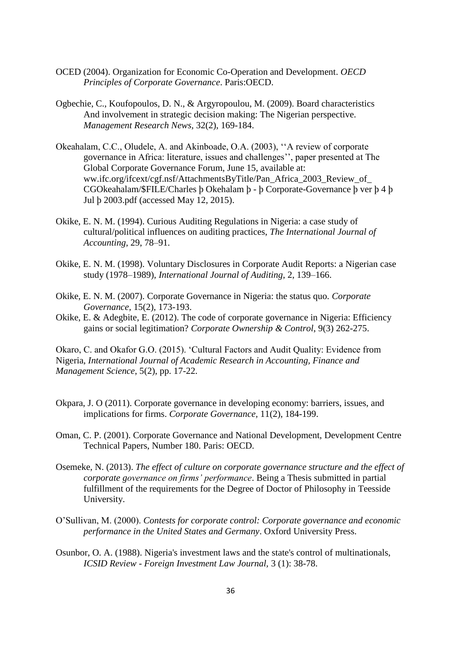- OCED (2004). Organization for Economic Co-Operation and Development. *OECD Principles of Corporate Governance*. Paris:OECD.
- Ogbechie, C., Koufopoulos, D. N., & Argyropoulou, M. (2009). Board characteristics And involvement in strategic decision making: The Nigerian perspective. *Management Research News,* 32(2), 169-184.
- Okeahalam, C.C., Oludele, A. and Akinboade, O.A. (2003), ''A review of corporate governance in Africa: literature, issues and challenges'', paper presented at The Global Corporate Governance Forum, June 15, available at: ww.ifc.org/ifcext/cgf.nsf/AttachmentsByTitle/Pan\_Africa\_2003\_Review\_of\_ CGOkeahalam/\$FILE/Charles þ Okehalam þ - þ Corporate-Governance þ ver þ 4 þ Jul þ 2003.pdf (accessed May 12, 2015).
- Okike, E. N. M. (1994). Curious Auditing Regulations in Nigeria: a case study of cultural/political influences on auditing practices, *The International Journal of Accounting*, 29, 78–91.
- Okike, E. N. M. (1998). Voluntary Disclosures in Corporate Audit Reports: a Nigerian case study (1978–1989), *International Journal of Auditing*, 2, 139–166.
- Okike, E. N. M. (2007). Corporate Governance in Nigeria: the status quo. *Corporate Governance,* 15(2), 173-193.
- Okike, E. & Adegbite, E. (2012). The code of corporate governance in Nigeria: Efficiency gains or social legitimation? *Corporate Ownership & Control*, 9(3) 262-275.

Okaro, C. and Okafor G.O. (2015). 'Cultural Factors and Audit Quality: Evidence from Nigeria, *International Journal of Academic Research in Accounting, Finance and Management Science*, 5(2), pp. 17-22.

- Okpara, J. O (2011). Corporate governance in developing economy: barriers, issues, and implications for firms. *Corporate Governance,* 11(2), 184-199.
- Oman, C. P. (2001). Corporate Governance and National Development, Development Centre Technical Papers, Number 180. Paris: OECD.
- Osemeke, N. (2013). *The effect of culture on corporate governance structure and the effect of corporate governance on firms' performance*. Being a Thesis submitted in partial fulfillment of the requirements for the Degree of Doctor of Philosophy in Teesside University.
- O'Sullivan, M. (2000). *Contests for corporate control: Corporate governance and economic performance in the United States and Germany*. Oxford University Press.
- Osunbor, O. A. (1988). Nigeria's investment laws and the state's control of multinationals, *ICSID Review - Foreign Investment Law Journal,* 3 (1): 38-78.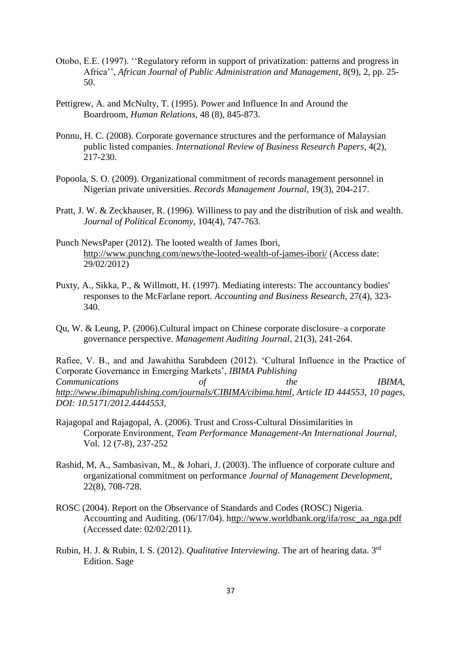- Otobo, E.E. (1997). ''Regulatory reform in support of privatization: patterns and progress in Africa'', *African Journal of Public Administration and Management*, 8(9), 2, pp. 25- 50.
- Pettigrew, A. and McNulty, T. (1995). Power and Influence In and Around the Boardroom, *Human Relations*, 48 (8), 845-873.
- Ponnu, H. C. (2008). Corporate governance structures and the performance of Malaysian public listed companies. *International Review of Business Research Papers*, 4(2), 217-230.
- Popoola, S. O. (2009). Organizational commitment of records management personnel in Nigerian private universities. *Records Management Journal*, 19(3), 204-217.
- Pratt, J. W. & Zeckhauser, R. (1996). Williness to pay and the distribution of risk and wealth. *Journal of Political Economy,* 104(4), 747-763.
- Punch NewsPaper (2012). The looted wealth of James Ibori, <http://www.punchng.com/news/the-looted-wealth-of-james-ibori/> (Access date: 29/02/2012)
- Puxty, A., Sikka, P., & Willmott, H. (1997). Mediating interests: The accountancy bodies' responses to the McFarlane report. *Accounting and Business Research,* 27(4), 323- 340.
- Qu, W. & Leung, P. (2006).Cultural impact on Chinese corporate disclosure–a corporate governance perspective. *Management Auditing Journal,* 21(3), 241-264.

Rafiee, V. B., and and Jawahitha Sarabdeen (2012). 'Cultural Influence in the Practice of Corporate Governance in Emerging Markets', *IBIMA Publishing Communications of the IBIMA, [http://www.ibimapublishing.com/journals/CIBIMA/cibima.html,](http://www.ibimapublishing.com/journals/CIBIMA/cibima.html) Article ID 444553, 10 pages, DOI: 10.5171/2012.4444553,* 

- Rajagopal and Rajagopal, A. (2006). Trust and Cross-Cultural Dissimilarities in Corporate Environment, *Team Performance Management-An International Journal*, Vol. 12 (7-8), 237-252
- Rashid, M, A., Sambasivan, M., & Johari, J. (2003). The influence of corporate culture and organizational commitment on performance *Journal of Management Development*, 22(8), 708-728.
- ROSC (2004). Report on the Observance of Standards and Codes (ROSC) Nigeria. Accounting and Auditing. (06/17/04). [http://www.worldbank.org/ifa/rosc\\_aa\\_nga.pdf](ttp://www.worldbank.org/ifa/rosc_aa_nga.pdf)  (Accessed date: 02/02/2011).
- Rubin, H. J. & Rubin, I. S. (2012). *Qualitative Interviewing*. The art of hearing data. 3rd Edition. Sage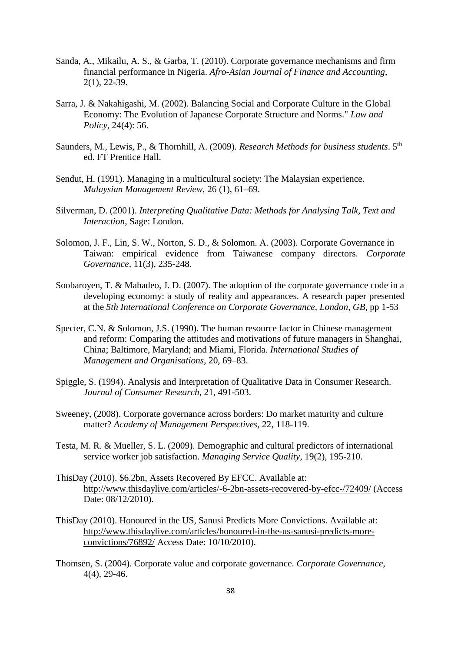- Sanda, A., Mikailu, A. S., & Garba, T. (2010). Corporate governance mechanisms and firm financial performance in Nigeria. *Afro-Asian Journal of Finance and Accounting*, 2(1), 22-39.
- Sarra, J. & Nakahigashi, M. (2002). Balancing Social and Corporate Culture in the Global Economy: The Evolution of Japanese Corporate Structure and Norms." *Law and Policy*, 24(4): 56.
- Saunders, M., Lewis, P., & Thornhill, A. (2009). *Research Methods for business students*. 5th ed. FT Prentice Hall.
- Sendut, H. (1991). Managing in a multicultural society: The Malaysian experience. *Malaysian Management Review,* 26 (1), 61–69.
- Silverman, D. (2001). *Interpreting Qualitative Data: Methods for Analysing Talk, Text and Interaction*, Sage: London.
- Solomon, J. F., Lin, S. W., Norton, S. D., & Solomon. A. (2003). Corporate Governance in Taiwan: empirical evidence from Taiwanese company directors. *Corporate Governance,* 11(3), 235-248.
- Soobaroyen, T. & Mahadeo, J. D. (2007). The adoption of the corporate governance code in a developing economy: a study of reality and appearances. A research paper presented at the *5th International Conference on Corporate Governance, London, GB,* pp 1-53
- Specter, C.N. & Solomon, J.S. (1990). The human resource factor in Chinese management and reform: Comparing the attitudes and motivations of future managers in Shanghai, China; Baltimore, Maryland; and Miami, Florida. *International Studies of Management and Organisations*, 20, 69–83.
- Spiggle, S. (1994). Analysis and Interpretation of Qualitative Data in Consumer Research. *Journal of Consumer Research*, 21, 491-503.
- Sweeney, (2008). Corporate governance across borders: Do market maturity and culture matter? *Academy of Management Perspectives,* 22, 118-119.
- Testa, M. R. & Mueller, S. L. (2009). Demographic and cultural predictors of international service worker job satisfaction. *Managing Service Quality*, 19(2), 195-210.
- ThisDay (2010). \$6.2bn, Assets Recovered By EFCC. Available at: <http://www.thisdaylive.com/articles/-6-2bn-assets-recovered-by-efcc-/72409/> (Access Date: 08/12/2010).
- ThisDay (2010). Honoured in the US, Sanusi Predicts More Convictions. Available at: [http://www.thisdaylive.com/articles/honoured-in-the-us-sanusi-predicts-more](http://www.thisdaylive.com/articles/honoured-in-the-us-sanusi-predicts-more-convictions/76892/)[convictions/76892/](http://www.thisdaylive.com/articles/honoured-in-the-us-sanusi-predicts-more-convictions/76892/) Access Date: 10/10/2010).
- Thomsen, S. (2004). Corporate value and corporate governance. *Corporate Governance*, 4(4), 29-46.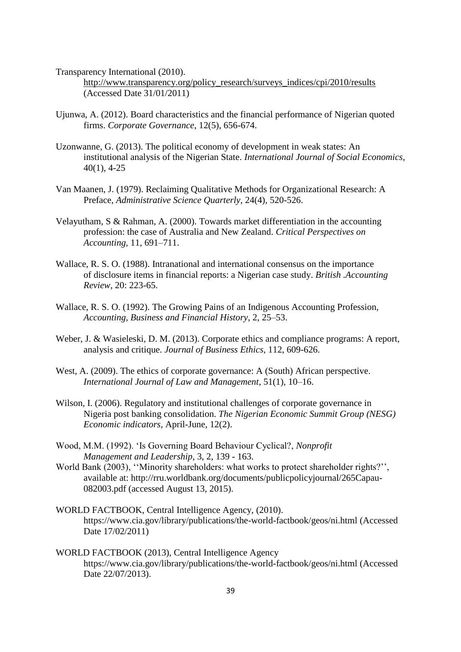Transparency International (2010).

[http://www.transparency.org/policy\\_research/surveys\\_indices/cpi/2010/results](http://www.transparency.org/policy_research/surveys_indices/cpi/2010/results) (Accessed Date 31/01/2011)

- Ujunwa, A. (2012). Board characteristics and the financial performance of Nigerian quoted firms. *Corporate Governance*, 12(5), 656-674.
- Uzonwanne, G. (2013). The political economy of development in weak states: An institutional analysis of the Nigerian State. *International Journal of Social Economics*, 40(1), 4-25
- Van Maanen, J. (1979). Reclaiming Qualitative Methods for Organizational Research: A Preface, *Administrative Science Quarterly*, 24(4), 520-526.
- Velayutham, S & Rahman, A. (2000). Towards market differentiation in the accounting profession: the case of Australia and New Zealand. *Critical Perspectives on Accounting,* 11, 691–711.
- Wallace, R. S. O. (1988). Intranational and international consensus on the importance of disclosure items in financial reports: a Nigerian case study. *British .Accounting Review,* 20: 223-65.
- Wallace, R. S. O. (1992). The Growing Pains of an Indigenous Accounting Profession, *Accounting, Business and Financial History*, 2, 25–53.
- Weber, J. & Wasieleski, D. M. (2013). Corporate ethics and compliance programs: A report, analysis and critique. *Journal of Business Ethics*, 112, 609-626.
- West, A. (2009). The ethics of corporate governance: A (South) African perspective. *International Journal of Law and Management*, 51(1), 10–16.
- Wilson, I. (2006). Regulatory and institutional challenges of corporate governance in Nigeria post banking consolidation. *The Nigerian Economic Summit Group (NESG) Economic indicators*, April-June, 12(2).
- Wood, M.M. (1992). 'Is Governing Board Behaviour Cyclical?, *Nonprofit Management and Leadership*, 3, 2, 139 - 163.
- World Bank (2003), ''Minority shareholders: what works to protect shareholder rights?'', available at: [http://rru.worldbank.org/documents/publicpolicyjournal/265Capau-](ttp://rru.worldbank.org/documents/publicpolicyjournal/265Capau-0)[08](ttp://rru.worldbank.org/documents/publicpolicyjournal/265Capau-0)2003.pdf (accessed August 13, 2015).
- WORLD FACTBOOK, Central Intelligence Agency, (2010). <https://www.cia.gov/library/publications/the-world-factbook/geos/ni.html> (Accessed Date  $17/02/2011$ )
- WORLD FACTBOOK (2013), Central Intelligence Agency <https://www.cia.gov/library/publications/the-world-factbook/geos/ni.html> (Accessed Date 22/07/2013).